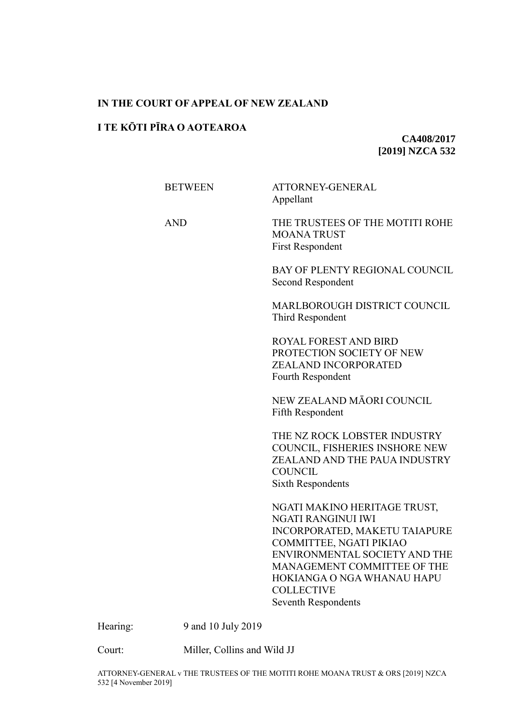# **IN THE COURT OF APPEAL OF NEW ZEALAND**

# **I TE KŌTI PĪRA O AOTEAROA**

**CA408/2017 [2019] NZCA 532**

| <b>BETWEEN</b> | ATTORNEY-GENERAL<br>Appellant                                                                                                                                                                                                                                   |
|----------------|-----------------------------------------------------------------------------------------------------------------------------------------------------------------------------------------------------------------------------------------------------------------|
| <b>AND</b>     | THE TRUSTEES OF THE MOTITI ROHE<br><b>MOANATRUST</b><br><b>First Respondent</b>                                                                                                                                                                                 |
|                | BAY OF PLENTY REGIONAL COUNCIL<br>Second Respondent                                                                                                                                                                                                             |
|                | MARLBOROUGH DISTRICT COUNCIL<br>Third Respondent                                                                                                                                                                                                                |
|                | ROYAL FOREST AND BIRD<br>PROTECTION SOCIETY OF NEW<br>ZEALAND INCORPORATED<br>Fourth Respondent                                                                                                                                                                 |
|                | NEW ZEALAND MĀORI COUNCIL<br><b>Fifth Respondent</b>                                                                                                                                                                                                            |
|                | THE NZ ROCK LOBSTER INDUSTRY<br>COUNCIL, FISHERIES INSHORE NEW<br>ZEALAND AND THE PAUA INDUSTRY<br><b>COUNCIL</b><br><b>Sixth Respondents</b>                                                                                                                   |
|                | NGATI MAKINO HERITAGE TRUST,<br>NGATI RANGINUI IWI<br>INCORPORATED, MAKETU TAIAPURE<br>COMMITTEE, NGATI PIKIAO<br>ENVIRONMENTAL SOCIETY AND THE<br>MANAGEMENT COMMITTEE OF THE<br>HOKIANGA O NGA WHANAU HAPU<br><b>COLLECTIVE</b><br><b>Seventh Respondents</b> |

Hearing: 9 and 10 July 2019

Court: Miller, Collins and Wild JJ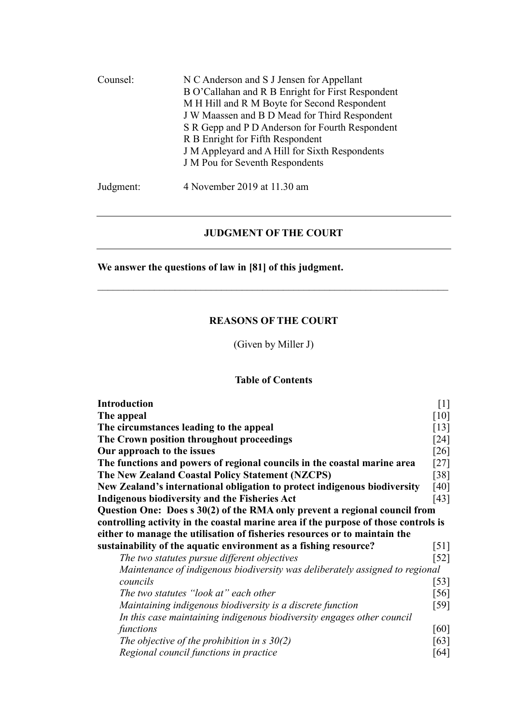| Counsel:  | N C Anderson and S J Jensen for Appellant<br>B O'Callahan and R B Enright for First Respondent<br>M H Hill and R M Boyte for Second Respondent<br>J W Maassen and B D Mead for Third Respondent<br>S R Gepp and P D Anderson for Fourth Respondent<br>R B Enright for Fifth Respondent<br>J M Appleyard and A Hill for Sixth Respondents<br>J M Pou for Seventh Respondents |
|-----------|-----------------------------------------------------------------------------------------------------------------------------------------------------------------------------------------------------------------------------------------------------------------------------------------------------------------------------------------------------------------------------|
| Judgment: | 4 November 2019 at 11.30 am                                                                                                                                                                                                                                                                                                                                                 |

# **JUDGMENT OF THE COURT**

**We answer the questions of law in [81] of this judgment.**

# **REASONS OF THE COURT**

(Given by Miller J)

# **Table of Contents**

| <b>Introduction</b>                                                                 | $[1]$              |
|-------------------------------------------------------------------------------------|--------------------|
| The appeal                                                                          | $[10]$             |
| The circumstances leading to the appeal                                             | $\lceil 13 \rceil$ |
| The Crown position throughout proceedings                                           | [24]               |
| Our approach to the issues                                                          | $\lceil 26 \rceil$ |
| The functions and powers of regional councils in the coastal marine area            | [27]               |
| The New Zealand Coastal Policy Statement (NZCPS)                                    | [38]               |
| New Zealand's international obligation to protect indigenous biodiversity           | [40]               |
| <b>Indigenous biodiversity and the Fisheries Act</b>                                | [43]               |
| Question One: Does s 30(2) of the RMA only prevent a regional council from          |                    |
| controlling activity in the coastal marine area if the purpose of those controls is |                    |
| either to manage the utilisation of fisheries resources or to maintain the          |                    |
| sustainability of the aquatic environment as a fishing resource?                    | $[51]$             |
| The two statutes pursue different objectives                                        |                    |
| Maintenance of indigenous biodiversity was deliberately assigned to regional        |                    |
| councils                                                                            | $[53]$             |
| The two statutes "look at" each other                                               | [56]               |
| Maintaining indigenous biodiversity is a discrete function                          | [59]               |
| In this case maintaining indigenous biodiversity engages other council              |                    |
| functions                                                                           | [60]               |
| The objective of the prohibition in s $30(2)$                                       | [63]               |
| Regional council functions in practice                                              | [64]               |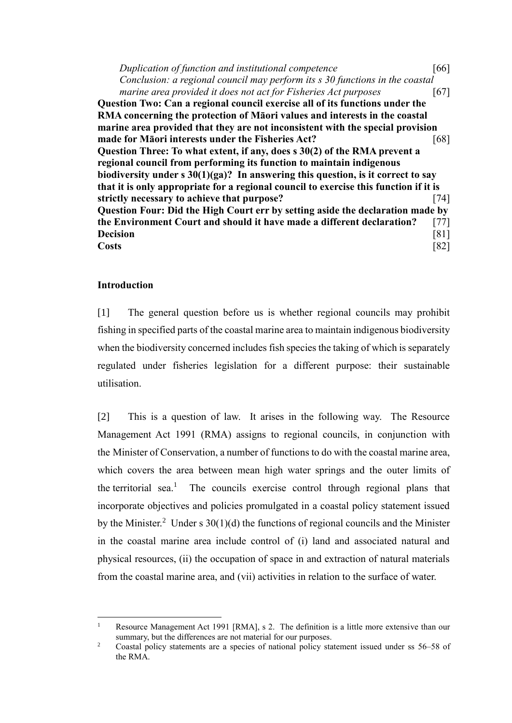*Duplication of function and institutional competence* [\[66\]](#page-29-0) *Conclusion: a regional council may perform its s 30 functions in the coastal marine area provided it does not act for Fisheries Act purposes* [\[67\]](#page-29-1) **Question Two: Can a regional council exercise all of its functions under the RMA concerning the protection of Māori values and interests in the coastal marine area provided that they are not inconsistent with the special provision made for Māori interests under the Fisheries Act?** [\[68\]](#page-29-2) **Question Three: To what extent, if any, does s 30(2) of the RMA prevent a regional council from performing its function to maintain indigenous biodiversity under s 30(1)(ga)? In answering this question, is it correct to say that it is only appropriate for a regional council to exercise this function if it is strictly necessary to achieve that purpose?** [\[74\]](#page-31-0) **Question Four: Did the High Court err by setting aside the declaration made by the Environment Court and should it have made a different declaration?** [\[77\]](#page-32-0) **Decision** [\[81\]](#page-34-0) **Costs** [\[82\]](#page-35-0)

## **Introduction**

 $\overline{a}$ 

<span id="page-2-0"></span>[1] The general question before us is whether regional councils may prohibit fishing in specified parts of the coastal marine area to maintain indigenous biodiversity when the biodiversity concerned includes fish species the taking of which is separately regulated under fisheries legislation for a different purpose: their sustainable utilisation.

[2] This is a question of law. It arises in the following way. The Resource Management Act 1991 (RMA) assigns to regional councils, in conjunction with the Minister of Conservation, a number of functions to do with the coastal marine area, which covers the area between mean high water springs and the outer limits of the territorial sea.<sup>1</sup> The councils exercise control through regional plans that incorporate objectives and policies promulgated in a coastal policy statement issued by the Minister.<sup>2</sup> Under s  $30(1)(d)$  the functions of regional councils and the Minister in the coastal marine area include control of (i) land and associated natural and physical resources, (ii) the occupation of space in and extraction of natural materials from the coastal marine area, and (vii) activities in relation to the surface of water.

<sup>&</sup>lt;sup>1</sup> Resource Management Act 1991 [RMA], s 2. The definition is a little more extensive than our summary, but the differences are not material for our purposes.

<sup>&</sup>lt;sup>2</sup> Coastal policy statements are a species of national policy statement issued under ss 56–58 of the RMA.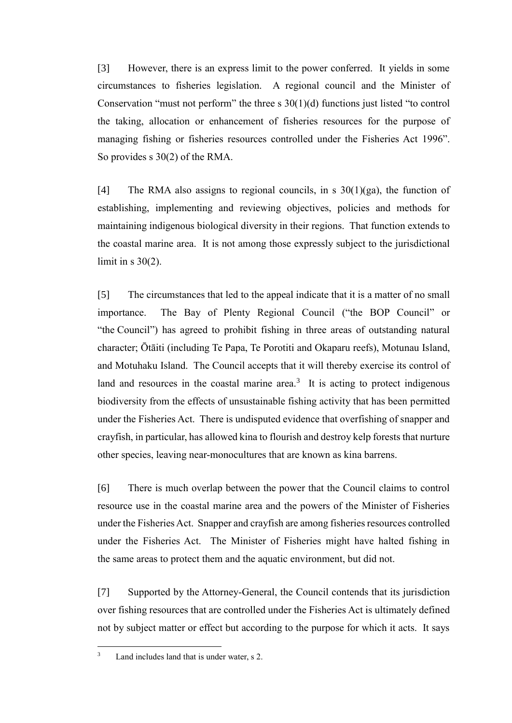[3] However, there is an express limit to the power conferred. It yields in some circumstances to fisheries legislation. A regional council and the Minister of Conservation "must not perform" the three s 30(1)(d) functions just listed "to control the taking, allocation or enhancement of fisheries resources for the purpose of managing fishing or fisheries resources controlled under the Fisheries Act 1996". So provides s 30(2) of the RMA.

[4] The RMA also assigns to regional councils, in s  $30(1)(ga)$ , the function of establishing, implementing and reviewing objectives, policies and methods for maintaining indigenous biological diversity in their regions. That function extends to the coastal marine area. It is not among those expressly subject to the jurisdictional limit in  $s$  30(2).

[5] The circumstances that led to the appeal indicate that it is a matter of no small importance. The Bay of Plenty Regional Council ("the BOP Council" or "the Council") has agreed to prohibit fishing in three areas of outstanding natural character; Ōtāiti (including Te Papa, Te Porotiti and Okaparu reefs), Motunau Island, and Motuhaku Island. The Council accepts that it will thereby exercise its control of land and resources in the coastal marine area. $3$  It is acting to protect indigenous biodiversity from the effects of unsustainable fishing activity that has been permitted under the Fisheries Act. There is undisputed evidence that overfishing of snapper and crayfish, in particular, has allowed kina to flourish and destroy kelp forests that nurture other species, leaving near-monocultures that are known as kina barrens.

[6] There is much overlap between the power that the Council claims to control resource use in the coastal marine area and the powers of the Minister of Fisheries under the Fisheries Act. Snapper and crayfish are among fisheries resources controlled under the Fisheries Act. The Minister of Fisheries might have halted fishing in the same areas to protect them and the aquatic environment, but did not.

[7] Supported by the Attorney-General, the Council contends that its jurisdiction over fishing resources that are controlled under the Fisheries Act is ultimately defined not by subject matter or effect but according to the purpose for which it acts. It says

<sup>&</sup>lt;sup>3</sup> Land includes land that is under water, s 2.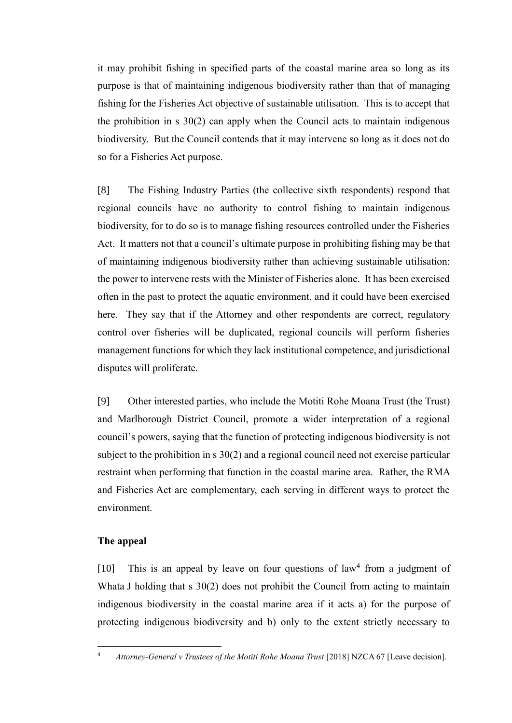it may prohibit fishing in specified parts of the coastal marine area so long as its purpose is that of maintaining indigenous biodiversity rather than that of managing fishing for the Fisheries Act objective of sustainable utilisation. This is to accept that the prohibition in s 30(2) can apply when the Council acts to maintain indigenous biodiversity. But the Council contends that it may intervene so long as it does not do so for a Fisheries Act purpose.

[8] The Fishing Industry Parties (the collective sixth respondents) respond that regional councils have no authority to control fishing to maintain indigenous biodiversity, for to do so is to manage fishing resources controlled under the Fisheries Act. It matters not that a council's ultimate purpose in prohibiting fishing may be that of maintaining indigenous biodiversity rather than achieving sustainable utilisation: the power to intervene rests with the Minister of Fisheries alone. It has been exercised often in the past to protect the aquatic environment, and it could have been exercised here. They say that if the Attorney and other respondents are correct, regulatory control over fisheries will be duplicated, regional councils will perform fisheries management functions for which they lack institutional competence, and jurisdictional disputes will proliferate.

[9] Other interested parties, who include the Motiti Rohe Moana Trust (the Trust) and Marlborough District Council, promote a wider interpretation of a regional council's powers, saying that the function of protecting indigenous biodiversity is not subject to the prohibition in s 30(2) and a regional council need not exercise particular restraint when performing that function in the coastal marine area. Rather, the RMA and Fisheries Act are complementary, each serving in different ways to protect the environment.

## **The appeal**

 $\overline{a}$ 

<span id="page-4-0"></span>[10] This is an appeal by leave on four questions of law<sup>4</sup> from a judgment of Whata J holding that s 30(2) does not prohibit the Council from acting to maintain indigenous biodiversity in the coastal marine area if it acts a) for the purpose of protecting indigenous biodiversity and b) only to the extent strictly necessary to

<sup>&</sup>lt;sup>4</sup> *Attorney-General v Trustees of the Motiti Rohe Moana Trust* [2018] NZCA 67 [Leave decision].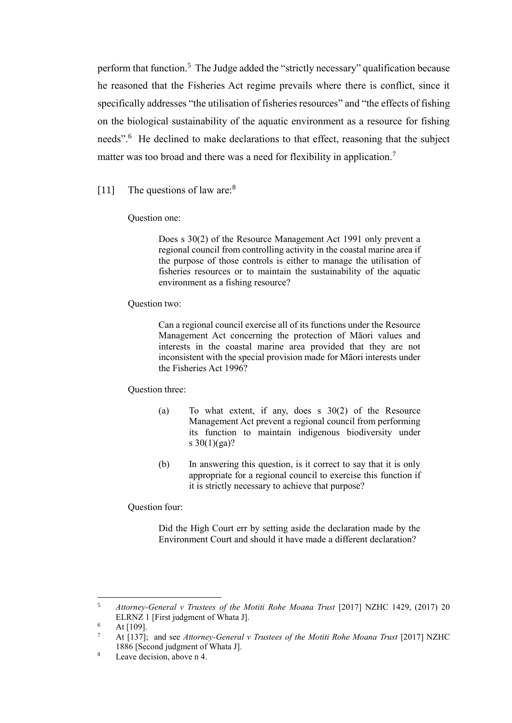perform that function.<sup>5</sup> The Judge added the "strictly necessary" qualification because he reasoned that the Fisheries Act regime prevails where there is conflict, since it specifically addresses "the utilisation of fisheries resources" and "the effects of fishing on the biological sustainability of the aquatic environment as a resource for fishing needs".<sup>6</sup> He declined to make declarations to that effect, reasoning that the subject matter was too broad and there was a need for flexibility in application.<sup>7</sup>

# [11] The questions of law are: $8<sup>8</sup>$

#### Question one:

Does s 30(2) of the Resource Management Act 1991 only prevent a regional council from controlling activity in the coastal marine area if the purpose of those controls is either to manage the utilisation of fisheries resources or to maintain the sustainability of the aquatic environment as a fishing resource?

#### Question two:

Can a regional council exercise all of its functions under the Resource Management Act concerning the protection of Māori values and interests in the coastal marine area provided that they are not inconsistent with the special provision made for Māori interests under the Fisheries Act 1996?

### Question three:

- (a) To what extent, if any, does s 30(2) of the Resource Management Act prevent a regional council from performing its function to maintain indigenous biodiversity under s  $30(1)(ga)?$
- (b) In answering this question, is it correct to say that it is only appropriate for a regional council to exercise this function if it is strictly necessary to achieve that purpose?

Question four:

Did the High Court err by setting aside the declaration made by the Environment Court and should it have made a different declaration?

 $\overline{5}$ <sup>5</sup> *Attorney-General v Trustees of the Motiti Rohe Moana Trust* [2017] NZHC 1429, (2017) 20 ELRNZ 1 [First judgment of Whata J].

 $6$  At [109].

<sup>&</sup>lt;sup>7</sup> At [137]; and see *Attorney-General v Trustees of the Motiti Rohe Moana Trust* [2017] NZHC 1886 [Second judgment of Whata J].

<sup>8</sup> Leave decision, above n 4.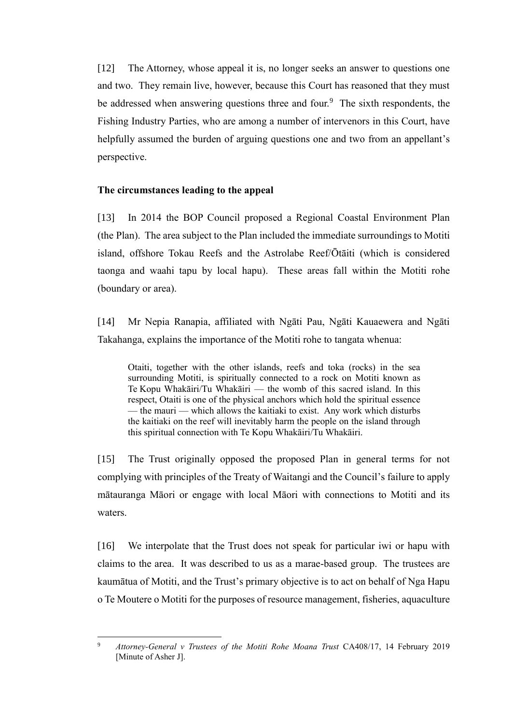[12] The Attorney, whose appeal it is, no longer seeks an answer to questions one and two. They remain live, however, because this Court has reasoned that they must be addressed when answering questions three and four.<sup>9</sup> The sixth respondents, the Fishing Industry Parties, who are among a number of intervenors in this Court, have helpfully assumed the burden of arguing questions one and two from an appellant's perspective.

## **The circumstances leading to the appeal**

<span id="page-6-0"></span>[13] In 2014 the BOP Council proposed a Regional Coastal Environment Plan (the Plan). The area subject to the Plan included the immediate surroundings to Motiti island, offshore Tokau Reefs and the Astrolabe Reef/Ōtāiti (which is considered taonga and waahi tapu by local hapu). These areas fall within the Motiti rohe (boundary or area).

[14] Mr Nepia Ranapia, affiliated with Ngāti Pau, Ngāti Kauaewera and Ngāti Takahanga, explains the importance of the Motiti rohe to tangata whenua:

Otaiti, together with the other islands, reefs and toka (rocks) in the sea surrounding Motiti, is spiritually connected to a rock on Motiti known as Te Kopu Whakāiri/Tu Whakāiri — the womb of this sacred island. In this respect, Otaiti is one of the physical anchors which hold the spiritual essence — the mauri — which allows the kaitiaki to exist. Any work which disturbs the kaitiaki on the reef will inevitably harm the people on the island through this spiritual connection with Te Kopu Whakāiri/Tu Whakāiri.

[15] The Trust originally opposed the proposed Plan in general terms for not complying with principles of the Treaty of Waitangi and the Council's failure to apply mātauranga Māori or engage with local Māori with connections to Motiti and its waters.

[16] We interpolate that the Trust does not speak for particular iwi or hapu with claims to the area. It was described to us as a marae-based group. The trustees are kaumātua of Motiti, and the Trust's primary objective is to act on behalf of Nga Hapu o Te Moutere o Motiti for the purposes of resource management, fisheries, aquaculture

 $\overline{9}$ <sup>9</sup> *Attorney-General v Trustees of the Motiti Rohe Moana Trust* CA408/17, 14 February 2019 [Minute of Asher J].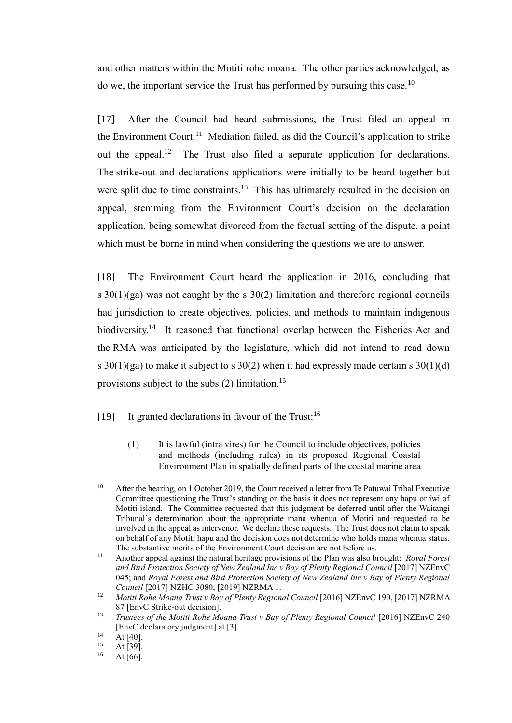and other matters within the Motiti rohe moana. The other parties acknowledged, as do we, the important service the Trust has performed by pursuing this case.<sup>10</sup>

[17] After the Council had heard submissions, the Trust filed an appeal in the Environment Court.<sup>11</sup> Mediation failed, as did the Council's application to strike out the appeal.<sup>12</sup> The Trust also filed a separate application for declarations. The strike-out and declarations applications were initially to be heard together but were split due to time constraints.<sup>13</sup> This has ultimately resulted in the decision on appeal, stemming from the Environment Court's decision on the declaration application, being somewhat divorced from the factual setting of the dispute, a point which must be borne in mind when considering the questions we are to answer.

[18] The Environment Court heard the application in 2016, concluding that s  $30(1)(ga)$  was not caught by the s  $30(2)$  limitation and therefore regional councils had jurisdiction to create objectives, policies, and methods to maintain indigenous biodiversity.<sup>14</sup> It reasoned that functional overlap between the Fisheries Act and the RMA was anticipated by the legislature, which did not intend to read down s  $30(1)(ga)$  to make it subject to s  $30(2)$  when it had expressly made certain s  $30(1)(d)$ provisions subject to the subs (2) limitation.<sup>15</sup>

[19] It granted declarations in favour of the Trust:<sup>16</sup>

(1) It is lawful (intra vires) for the Council to include objectives, policies and methods (including rules) in its proposed Regional Coastal Environment Plan in spatially defined parts of the coastal marine area

<sup>&</sup>lt;sup>10</sup> After the hearing, on 1 October 2019, the Court received a letter from Te Patuwai Tribal Executive Committee questioning the Trust's standing on the basis it does not represent any hapu or iwi of Motiti island. The Committee requested that this judgment be deferred until after the Waitangi Tribunal's determination about the appropriate mana whenua of Motiti and requested to be involved in the appeal as intervenor. We decline these requests. The Trust does not claim to speak on behalf of any Motiti hapu and the decision does not determine who holds mana whenua status. The substantive merits of the Environment Court decision are not before us.

<sup>11</sup> Another appeal against the natural heritage provisions of the Plan was also brought: *Royal Forest and Bird Protection Society of New Zealand Inc v Bay of Plenty Regional Council* [2017] NZEnvC 045; and *Royal Forest and Bird Protection Society of New Zealand Inc v Bay of Plenty Regional Council* [2017] NZHC 3080, [2019] NZRMA 1.

<sup>&</sup>lt;sup>12</sup> Motiti Rohe Moana Trust v Bay of Plenty Regional Council [2016] NZEnvC 190, [2017] NZRMA 87 [EnvC Strike-out decision].

<sup>&</sup>lt;sup>13</sup> *Trustees of the Motiti Rohe Moana Trust v Bay of Plenty Regional Council* [2016] NZEnvC 240 [EnvC declaratory judgment] at [3].

 $\frac{14}{15}$  At [40].

 $15$  At [39].<br> $16$  At [66]

At  $[66]$ .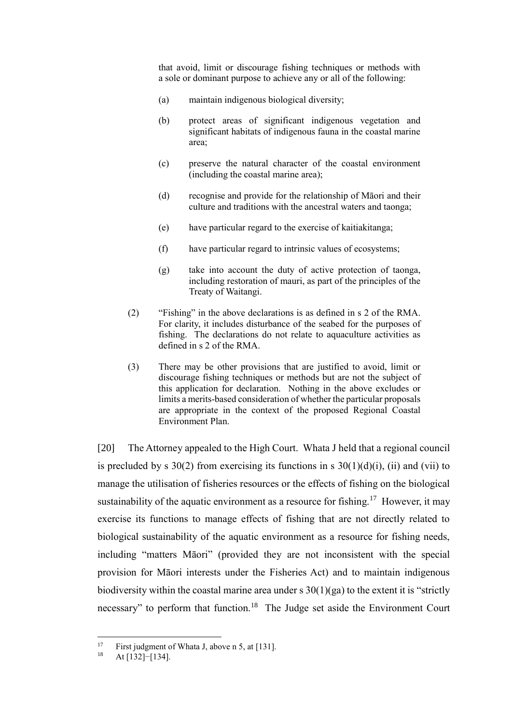that avoid, limit or discourage fishing techniques or methods with a sole or dominant purpose to achieve any or all of the following:

- (a) maintain indigenous biological diversity;
- (b) protect areas of significant indigenous vegetation and significant habitats of indigenous fauna in the coastal marine area;
- (c) preserve the natural character of the coastal environment (including the coastal marine area);
- (d) recognise and provide for the relationship of Māori and their culture and traditions with the ancestral waters and taonga;
- (e) have particular regard to the exercise of kaitiakitanga;
- (f) have particular regard to intrinsic values of ecosystems;
- (g) take into account the duty of active protection of taonga, including restoration of mauri, as part of the principles of the Treaty of Waitangi.
- (2) "Fishing" in the above declarations is as defined in s 2 of the RMA. For clarity, it includes disturbance of the seabed for the purposes of fishing. The declarations do not relate to aquaculture activities as defined in s 2 of the RMA.
- (3) There may be other provisions that are justified to avoid, limit or discourage fishing techniques or methods but are not the subject of this application for declaration. Nothing in the above excludes or limits a merits-based consideration of whether the particular proposals are appropriate in the context of the proposed Regional Coastal Environment Plan.

[20] The Attorney appealed to the High Court. Whata J held that a regional council is precluded by s  $30(2)$  from exercising its functions in s  $30(1)(d)(i)$ , (ii) and (vii) to manage the utilisation of fisheries resources or the effects of fishing on the biological sustainability of the aquatic environment as a resource for fishing.<sup>17</sup> However, it may exercise its functions to manage effects of fishing that are not directly related to biological sustainability of the aquatic environment as a resource for fishing needs, including "matters Māori" (provided they are not inconsistent with the special provision for Māori interests under the Fisheries Act) and to maintain indigenous biodiversity within the coastal marine area under s  $30(1)(ga)$  to the extent it is "strictly necessary" to perform that function.<sup>18</sup> The Judge set aside the Environment Court

 $17$ <sup>17</sup> First judgment of Whata J, above n 5, at [131].

At [132]−[134].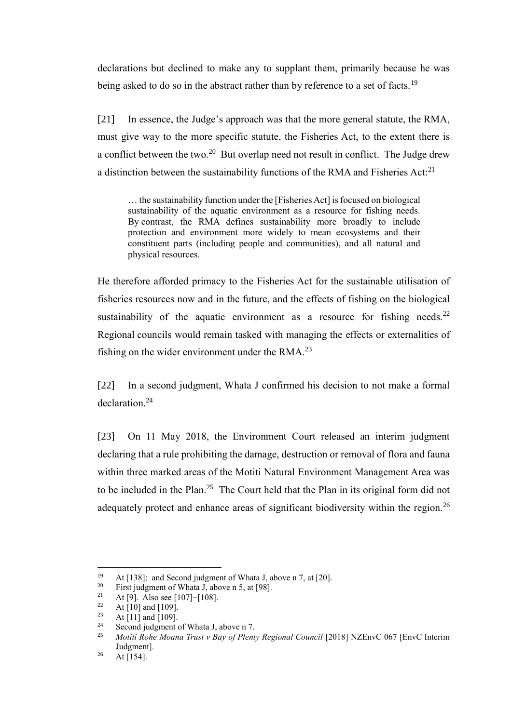declarations but declined to make any to supplant them, primarily because he was being asked to do so in the abstract rather than by reference to a set of facts.<sup>19</sup>

[21] In essence, the Judge's approach was that the more general statute, the RMA, must give way to the more specific statute, the Fisheries Act, to the extent there is a conflict between the two.<sup>20</sup> But overlap need not result in conflict. The Judge drew a distinction between the sustainability functions of the RMA and Fisheries Act:<sup>21</sup>

... the sustainability function under the [Fisheries Act] is focused on biological sustainability of the aquatic environment as a resource for fishing needs. By contrast, the RMA defines sustainability more broadly to include protection and environment more widely to mean ecosystems and their constituent parts (including people and communities), and all natural and physical resources.

He therefore afforded primacy to the Fisheries Act for the sustainable utilisation of fisheries resources now and in the future, and the effects of fishing on the biological sustainability of the aquatic environment as a resource for fishing needs.<sup>22</sup> Regional councils would remain tasked with managing the effects or externalities of fishing on the wider environment under the RMA. $^{23}$ 

[22] In a second judgment, Whata J confirmed his decision to not make a formal declaration.<sup>24</sup>

[23] On 11 May 2018, the Environment Court released an interim judgment declaring that a rule prohibiting the damage, destruction or removal of flora and fauna within three marked areas of the Motiti Natural Environment Management Area was to be included in the Plan.<sup>25</sup> The Court held that the Plan in its original form did not adequately protect and enhance areas of significant biodiversity within the region.<sup>26</sup>

<sup>&</sup>lt;sup>19</sup> At [138]; and Second judgment of Whata J, above n 7, at [20].<br><sup>20</sup> Eirst judgment of Whata J, above n 5, at [08]

<sup>&</sup>lt;sup>20</sup> First judgment of Whata J, above n 5, at [98].<br><sup>21</sup> At [9] Also see [107]-[108]

<sup>&</sup>lt;sup>21</sup> At [9]. Also see [107]–[108].<br><sup>22</sup> At [10] and [109]

<sup>&</sup>lt;sup>22</sup> At [10] and [109].<br><sup>23</sup> At [11] and [100]

 $\frac{23}{24}$  At [11] and [109].

<sup>&</sup>lt;sup>24</sup> Second judgment of Whata J, above n 7.<br><sup>25</sup> Matiti Baka Magna Trust v Bay of Blant

<sup>25</sup> *Motiti Rohe Moana Trust v Bay of Plenty Regional Council* [2018] NZEnvC 067 [EnvC Interim Judgment].

<sup>&</sup>lt;sup>26</sup> At [154].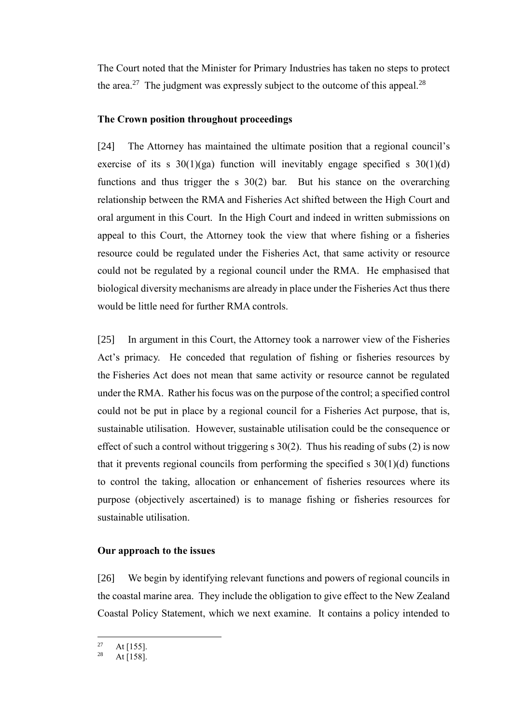The Court noted that the Minister for Primary Industries has taken no steps to protect the area.<sup>27</sup> The judgment was expressly subject to the outcome of this appeal.<sup>28</sup>

## **The Crown position throughout proceedings**

<span id="page-10-0"></span>[24] The Attorney has maintained the ultimate position that a regional council's exercise of its s  $30(1)(ga)$  function will inevitably engage specified s  $30(1)(d)$ functions and thus trigger the s 30(2) bar. But his stance on the overarching relationship between the RMA and Fisheries Act shifted between the High Court and oral argument in this Court. In the High Court and indeed in written submissions on appeal to this Court, the Attorney took the view that where fishing or a fisheries resource could be regulated under the Fisheries Act, that same activity or resource could not be regulated by a regional council under the RMA. He emphasised that biological diversity mechanisms are already in place under the Fisheries Act thus there would be little need for further RMA controls.

[25] In argument in this Court, the Attorney took a narrower view of the Fisheries Act's primacy. He conceded that regulation of fishing or fisheries resources by the Fisheries Act does not mean that same activity or resource cannot be regulated under the RMA. Rather his focus was on the purpose of the control; a specified control could not be put in place by a regional council for a Fisheries Act purpose, that is, sustainable utilisation. However, sustainable utilisation could be the consequence or effect of such a control without triggering  $s$  30(2). Thus his reading of subs (2) is now that it prevents regional councils from performing the specified  $s \frac{30(1)(d)}{d}$  functions to control the taking, allocation or enhancement of fisheries resources where its purpose (objectively ascertained) is to manage fishing or fisheries resources for sustainable utilisation.

### **Our approach to the issues**

<span id="page-10-1"></span>[26] We begin by identifying relevant functions and powers of regional councils in the coastal marine area. They include the obligation to give effect to the New Zealand Coastal Policy Statement, which we next examine. It contains a policy intended to

<sup>27</sup>  $\frac{27}{28}$  At [155].

At  $[158]$ .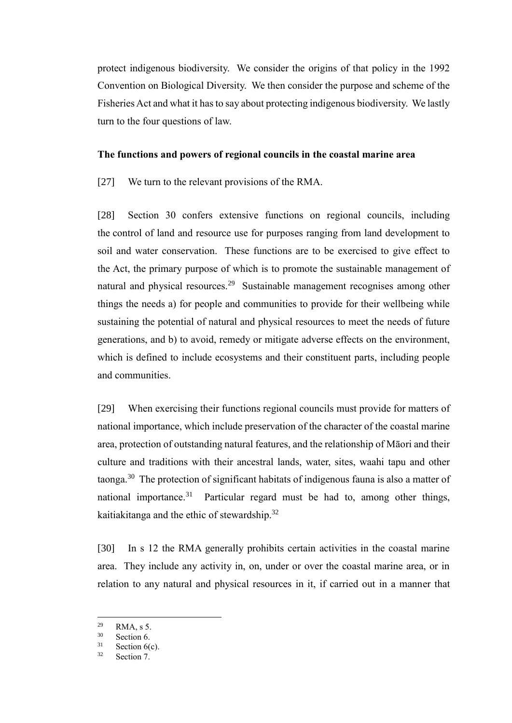protect indigenous biodiversity. We consider the origins of that policy in the 1992 Convention on Biological Diversity. We then consider the purpose and scheme of the Fisheries Act and what it has to say about protecting indigenous biodiversity. We lastly turn to the four questions of law.

#### **The functions and powers of regional councils in the coastal marine area**

<span id="page-11-0"></span>[27] We turn to the relevant provisions of the RMA.

[28] Section 30 confers extensive functions on regional councils, including the control of land and resource use for purposes ranging from land development to soil and water conservation. These functions are to be exercised to give effect to the Act, the primary purpose of which is to promote the sustainable management of natural and physical resources.<sup>29</sup> Sustainable management recognises among other things the needs a) for people and communities to provide for their wellbeing while sustaining the potential of natural and physical resources to meet the needs of future generations, and b) to avoid, remedy or mitigate adverse effects on the environment, which is defined to include ecosystems and their constituent parts, including people and communities.

[29] When exercising their functions regional councils must provide for matters of national importance, which include preservation of the character of the coastal marine area, protection of outstanding natural features, and the relationship of Māori and their culture and traditions with their ancestral lands, water, sites, waahi tapu and other taonga.<sup>30</sup> The protection of significant habitats of indigenous fauna is also a matter of national importance.<sup>31</sup> Particular regard must be had to, among other things, kaitiakitanga and the ethic of stewardship.<sup>32</sup>

[30] In s 12 the RMA generally prohibits certain activities in the coastal marine area. They include any activity in, on, under or over the coastal marine area, or in relation to any natural and physical resources in it, if carried out in a manner that

 $^{29}$  RMA, s 5.

 $30$  Section 6.

Section  $6(c)$ .

<sup>32</sup> Section 7.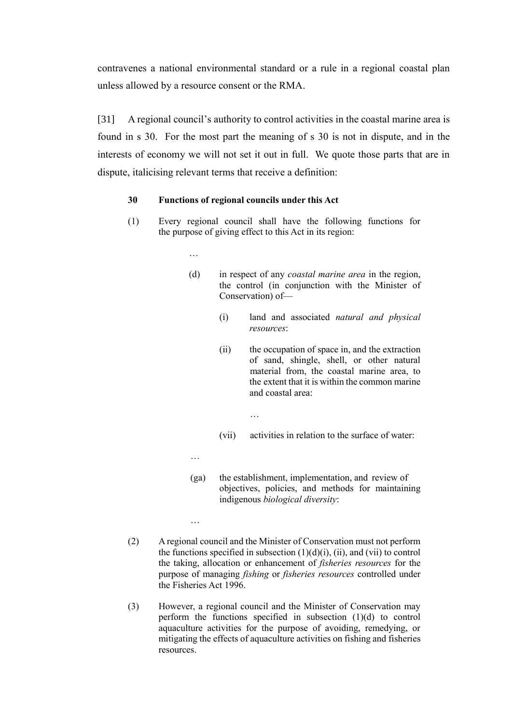contravenes a national environmental standard or a rule in a regional coastal plan unless allowed by a resource consent or the RMA.

[31] A regional council's authority to control activities in the coastal marine area is found in s 30. For the most part the meaning of s 30 is not in dispute, and in the interests of economy we will not set it out in full. We quote those parts that are in dispute, italicising relevant terms that receive a definition:

#### **30 Functions of regional councils under this Act**

- (1) Every regional council shall have the following functions for the purpose of giving effect to this Act in its region:
	- (d) in respect of any *coastal marine area* in the region, the control (in conjunction with the Minister of Conservation) of—
		- (i) land and associated *natural and physical resources*:
		- (ii) the occupation of space in, and the extraction of sand, shingle, shell, or other natural material from, the coastal marine area, to the extent that it is within the common marine and coastal area:
		- (vii) activities in relation to the surface of water:
	- …

…

…

- (ga) the establishment, implementation, and review of objectives, policies, and methods for maintaining indigenous *biological diversity*:
- (2) A regional council and the Minister of Conservation must not perform the functions specified in subsection  $(1)(d)(i)$ ,  $(ii)$ , and  $(vii)$  to control the taking, allocation or enhancement of *fisheries resources* for the purpose of managing *fishing* or *fisheries resources* controlled under the Fisheries Act 1996.

…

(3) However, a regional council and the Minister of Conservation may perform the functions specified in subsection (1)(d) to control aquaculture activities for the purpose of avoiding, remedying, or mitigating the effects of aquaculture activities on fishing and fisheries resources.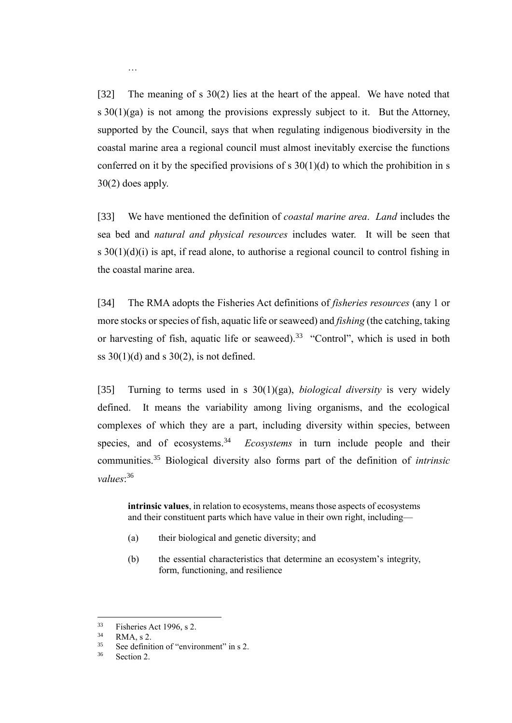[32] The meaning of s 30(2) lies at the heart of the appeal. We have noted that s  $30(1)(ga)$  is not among the provisions expressly subject to it. But the Attorney, supported by the Council, says that when regulating indigenous biodiversity in the coastal marine area a regional council must almost inevitably exercise the functions conferred on it by the specified provisions of  $s \frac{30(1)}{d}$  to which the prohibition in s 30(2) does apply.

[33] We have mentioned the definition of *coastal marine area*. *Land* includes the sea bed and *natural and physical resources* includes water. It will be seen that s  $30(1)(d)(i)$  is apt, if read alone, to authorise a regional council to control fishing in the coastal marine area.

[34] The RMA adopts the Fisheries Act definitions of *fisheries resources* (any 1 or more stocks or species of fish, aquatic life or seaweed) and *fishing* (the catching, taking or harvesting of fish, aquatic life or seaweed).<sup>33</sup> "Control", which is used in both ss  $30(1)(d)$  and s  $30(2)$ , is not defined.

[35] Turning to terms used in s 30(1)(ga), *biological diversity* is very widely defined. It means the variability among living organisms, and the ecological complexes of which they are a part, including diversity within species, between species, and of ecosystems.<sup>34</sup> *Ecosystems* in turn include people and their communities.<sup>35</sup> Biological diversity also forms part of the definition of *intrinsic values*: 36

**intrinsic values**, in relation to ecosystems, means those aspects of ecosystems and their constituent parts which have value in their own right, including—

- (a) their biological and genetic diversity; and
- (b) the essential characteristics that determine an ecosystem's integrity, form, functioning, and resilience

<sup>33</sup> Fisheries Act 1996, s 2.

 $34$  RMA, s 2.

See definition of "environment" in s 2.

<sup>36</sup> Section 2.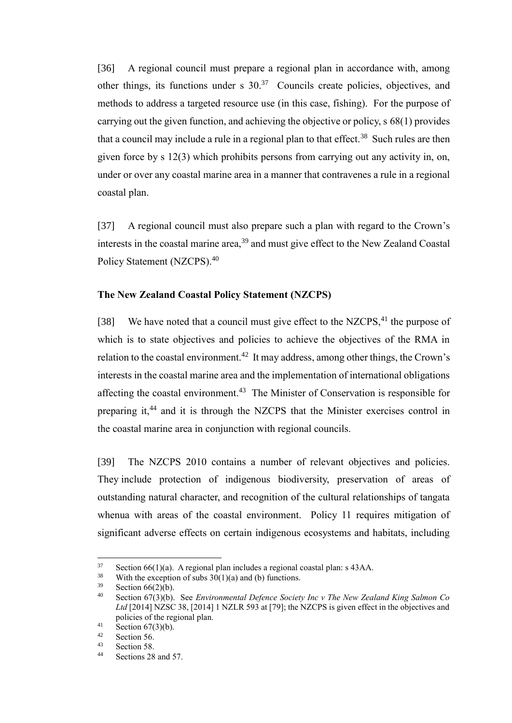[36] A regional council must prepare a regional plan in accordance with, among other things, its functions under s  $30<sup>37</sup>$  Councils create policies, objectives, and methods to address a targeted resource use (in this case, fishing). For the purpose of carrying out the given function, and achieving the objective or policy, s 68(1) provides that a council may include a rule in a regional plan to that effect.<sup>38</sup> Such rules are then given force by s 12(3) which prohibits persons from carrying out any activity in, on, under or over any coastal marine area in a manner that contravenes a rule in a regional coastal plan.

[37] A regional council must also prepare such a plan with regard to the Crown's interests in the coastal marine area,<sup>39</sup> and must give effect to the New Zealand Coastal Policy Statement (NZCPS).<sup>40</sup>

### **The New Zealand Coastal Policy Statement (NZCPS)**

<span id="page-14-0"></span>[38] We have noted that a council must give effect to the NZCPS, $41$  the purpose of which is to state objectives and policies to achieve the objectives of the RMA in relation to the coastal environment.<sup>42</sup> It may address, among other things, the Crown's interests in the coastal marine area and the implementation of international obligations affecting the coastal environment.<sup>43</sup> The Minister of Conservation is responsible for preparing it,<sup>44</sup> and it is through the NZCPS that the Minister exercises control in the coastal marine area in conjunction with regional councils.

[39] The NZCPS 2010 contains a number of relevant objectives and policies. They include protection of indigenous biodiversity, preservation of areas of outstanding natural character, and recognition of the cultural relationships of tangata whenua with areas of the coastal environment. Policy 11 requires mitigation of significant adverse effects on certain indigenous ecosystems and habitats, including

 $37$  Section 66(1)(a). A regional plan includes a regional coastal plan: s 43AA.<br> $38$  With the exception of subs 30(1)(a) and (b) functions

<sup>&</sup>lt;sup>38</sup> With the exception of subs  $30(1)(a)$  and (b) functions.<br><sup>39</sup> Section 66(2)(b)

<sup>&</sup>lt;sup>39</sup> Section 66(2)(b).<br><sup>40</sup> Section 67(3)(b)

<sup>40</sup> Section 67(3)(b). See *Environmental Defence Society Inc v The New Zealand King Salmon Co Ltd* [2014] NZSC 38, [2014] 1 NZLR 593 at [79]; the NZCPS is given effect in the objectives and policies of the regional plan.

<sup>&</sup>lt;sup>41</sup> Section 67(3)(b).

 $\frac{42}{43}$  Section 56.

 $\frac{43}{44}$  Section 58.

Sections 28 and 57.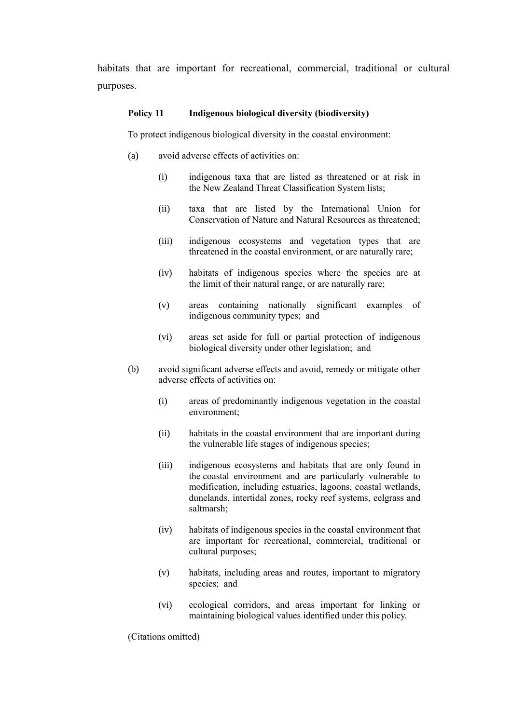habitats that are important for recreational, commercial, traditional or cultural purposes.

#### **Policy 11 Indigenous biological diversity (biodiversity)**

To protect indigenous biological diversity in the coastal environment:

- (a) avoid adverse effects of activities on:
	- (i) indigenous taxa that are listed as threatened or at risk in the New Zealand Threat Classification System lists;
	- (ii) taxa that are listed by the International Union for Conservation of Nature and Natural Resources as threatened;
	- (iii) indigenous ecosystems and vegetation types that are threatened in the coastal environment, or are naturally rare;
	- (iv) habitats of indigenous species where the species are at the limit of their natural range, or are naturally rare;
	- (v) areas containing nationally significant examples of indigenous community types; and
	- (vi) areas set aside for full or partial protection of indigenous biological diversity under other legislation; and
- (b) avoid significant adverse effects and avoid, remedy or mitigate other adverse effects of activities on:
	- (i) areas of predominantly indigenous vegetation in the coastal environment;
	- (ii) habitats in the coastal environment that are important during the vulnerable life stages of indigenous species;
	- (iii) indigenous ecosystems and habitats that are only found in the coastal environment and are particularly vulnerable to modification, including estuaries, lagoons, coastal wetlands, dunelands, intertidal zones, rocky reef systems, eelgrass and saltmarsh;
	- (iv) habitats of indigenous species in the coastal environment that are important for recreational, commercial, traditional or cultural purposes;
	- (v) habitats, including areas and routes, important to migratory species; and
	- (vi) ecological corridors, and areas important for linking or maintaining biological values identified under this policy.

(Citations omitted)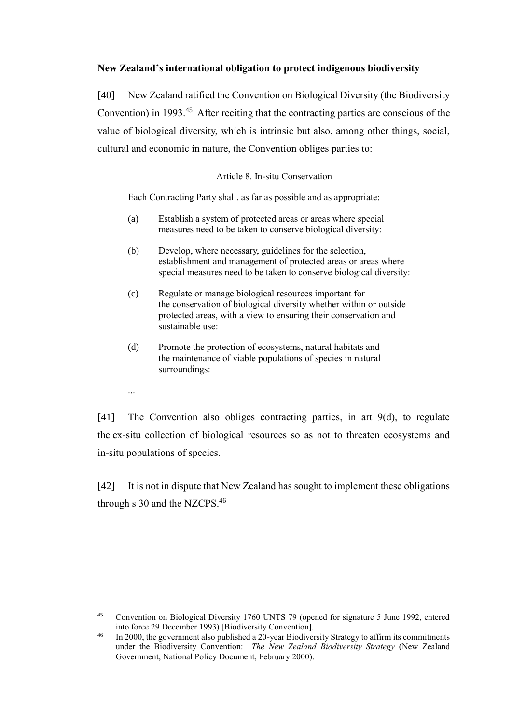# **New Zealand's international obligation to protect indigenous biodiversity**

<span id="page-16-0"></span>[40] New Zealand ratified the Convention on Biological Diversity (the Biodiversity Convention) in 1993.<sup>45</sup> After reciting that the contracting parties are conscious of the value of biological diversity, which is intrinsic but also, among other things, social, cultural and economic in nature, the Convention obliges parties to:

### Article 8. In-situ Conservation

Each Contracting Party shall, as far as possible and as appropriate:

- (a) Establish a system of protected areas or areas where special measures need to be taken to conserve biological diversity:
- (b) Develop, where necessary, guidelines for the selection, establishment and management of protected areas or areas where special measures need to be taken to conserve biological diversity:
- (c) Regulate or manage biological resources important for the conservation of biological diversity whether within or outside protected areas, with a view to ensuring their conservation and sustainable use:
- (d) Promote the protection of ecosystems, natural habitats and the maintenance of viable populations of species in natural surroundings:

...

[41] The Convention also obliges contracting parties, in art 9(d), to regulate the ex-situ collection of biological resources so as not to threaten ecosystems and in-situ populations of species.

[42] It is not in dispute that New Zealand has sought to implement these obligations through s 30 and the NZCPS. $46$ 

 $45$ <sup>45</sup> Convention on Biological Diversity 1760 UNTS 79 (opened for signature 5 June 1992, entered into force 29 December 1993) [Biodiversity Convention].

<sup>&</sup>lt;sup>46</sup> In 2000, the government also published a 20-year Biodiversity Strategy to affirm its commitments under the Biodiversity Convention: *The New Zealand Biodiversity Strategy* (New Zealand Government, National Policy Document, February 2000).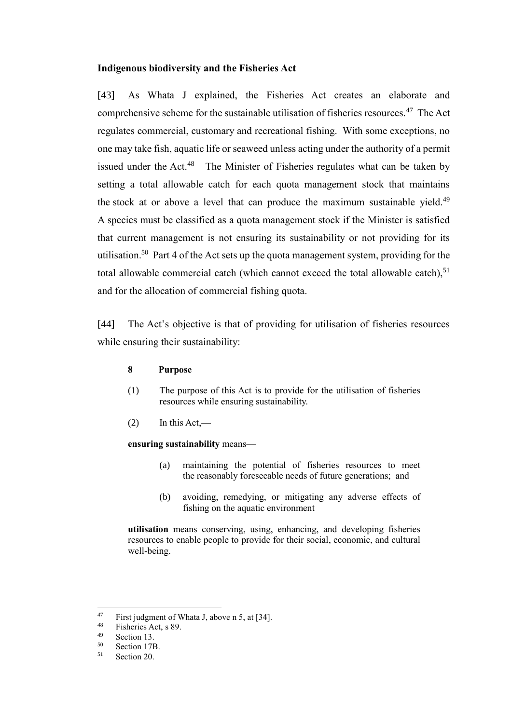### **Indigenous biodiversity and the Fisheries Act**

<span id="page-17-0"></span>[43] As Whata J explained, the Fisheries Act creates an elaborate and comprehensive scheme for the sustainable utilisation of fisheries resources.<sup>47</sup> The Act regulates commercial, customary and recreational fishing. With some exceptions, no one may take fish, aquatic life or seaweed unless acting under the authority of a permit issued under the Act.<sup>48</sup> The Minister of Fisheries regulates what can be taken by setting a total allowable catch for each quota management stock that maintains the stock at or above a level that can produce the maximum sustainable yield.<sup>49</sup> A species must be classified as a quota management stock if the Minister is satisfied that current management is not ensuring its sustainability or not providing for its utilisation.<sup>50</sup> Part 4 of the Act sets up the quota management system, providing for the total allowable commercial catch (which cannot exceed the total allowable catch), $51$ and for the allocation of commercial fishing quota.

[44] The Act's objective is that of providing for utilisation of fisheries resources while ensuring their sustainability:

#### **8 Purpose**

- (1) The purpose of this Act is to provide for the utilisation of fisheries resources while ensuring sustainability.
- $(2)$  In this Act,—

#### **ensuring sustainability** means—

- (a) maintaining the potential of fisheries resources to meet the reasonably foreseeable needs of future generations; and
- (b) avoiding, remedying, or mitigating any adverse effects of fishing on the aquatic environment

**utilisation** means conserving, using, enhancing, and developing fisheries resources to enable people to provide for their social, economic, and cultural well-being.

<sup>47</sup> <sup>47</sup> First judgment of Whata J, above n 5, at [34].<br><sup>48</sup> Eisharias A at  $\approx 80$ 

 $^{48}$  Fisheries Act, s 89.

 $^{49}$  Section 13.

 $50$  Section 17B.<br> $51$  Section 20

Section 20.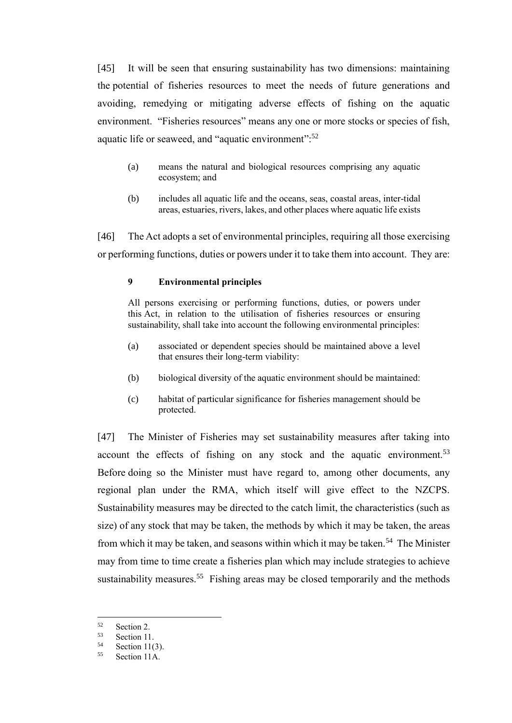[45] It will be seen that ensuring sustainability has two dimensions: maintaining the potential of fisheries resources to meet the needs of future generations and avoiding, remedying or mitigating adverse effects of fishing on the aquatic environment. "Fisheries resources" means any one or more stocks or species of fish, aquatic life or seaweed, and "aquatic environment":<sup>52</sup>

- (a) means the natural and biological resources comprising any aquatic ecosystem; and
- (b) includes all aquatic life and the oceans, seas, coastal areas, inter-tidal areas, estuaries, rivers, lakes, and other places where aquatic life exists

[46] The Act adopts a set of environmental principles, requiring all those exercising or performing functions, duties or powers under it to take them into account. They are:

### **9 Environmental principles**

All persons exercising or performing functions, duties, or powers under this Act, in relation to the utilisation of fisheries resources or ensuring sustainability, shall take into account the following environmental principles:

- (a) associated or dependent species should be maintained above a level that ensures their long-term viability:
- (b) biological diversity of the aquatic environment should be maintained:
- (c) habitat of particular significance for fisheries management should be protected.

[47] The Minister of Fisheries may set sustainability measures after taking into account the effects of fishing on any stock and the aquatic environment.<sup>53</sup> Before doing so the Minister must have regard to, among other documents, any regional plan under the RMA, which itself will give effect to the NZCPS. Sustainability measures may be directed to the catch limit, the characteristics (such as size) of any stock that may be taken, the methods by which it may be taken, the areas from which it may be taken, and seasons within which it may be taken.<sup>54</sup> The Minister may from time to time create a fisheries plan which may include strategies to achieve sustainability measures.<sup>55</sup> Fishing areas may be closed temporarily and the methods

 $52 \t\text{Section 2.}$ <br> $53 \t\text{Section 11}$ 

 $53$  Section 11.

 $54$  Section 11(3).

Section 11A.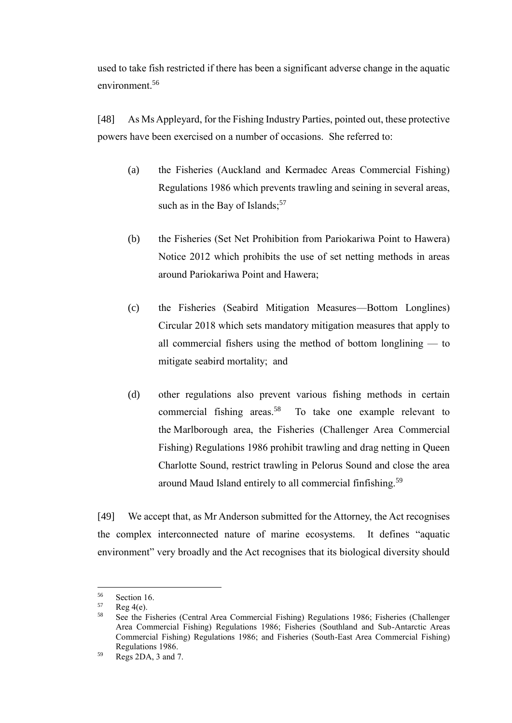used to take fish restricted if there has been a significant adverse change in the aquatic environment.<sup>56</sup>

[48] As Ms Appleyard, for the Fishing Industry Parties, pointed out, these protective powers have been exercised on a number of occasions. She referred to:

- (a) the Fisheries (Auckland and Kermadec Areas Commercial Fishing) Regulations 1986 which prevents trawling and seining in several areas, such as in the Bay of Islands;<sup>57</sup>
- (b) the Fisheries (Set Net Prohibition from Pariokariwa Point to Hawera) Notice 2012 which prohibits the use of set netting methods in areas around Pariokariwa Point and Hawera;
- (c) the Fisheries (Seabird Mitigation Measures—Bottom Longlines) Circular 2018 which sets mandatory mitigation measures that apply to all commercial fishers using the method of bottom longlining — to mitigate seabird mortality; and
- (d) other regulations also prevent various fishing methods in certain commercial fishing areas.<sup>58</sup> To take one example relevant to the Marlborough area, the Fisheries (Challenger Area Commercial Fishing) Regulations 1986 prohibit trawling and drag netting in Queen Charlotte Sound, restrict trawling in Pelorus Sound and close the area around Maud Island entirely to all commercial finfishing.<sup>59</sup>

[49] We accept that, as Mr Anderson submitted for the Attorney, the Act recognises the complex interconnected nature of marine ecosystems. It defines "aquatic environment" very broadly and the Act recognises that its biological diversity should

<sup>&</sup>lt;sup>56</sup> Section 16.<br> $\frac{57}{2}$  Reg  $A(e)$ 

 $58$  Reg 4(e).

<sup>58</sup> See the Fisheries (Central Area Commercial Fishing) Regulations 1986; Fisheries (Challenger Area Commercial Fishing) Regulations 1986; Fisheries (Southland and Sub-Antarctic Areas Commercial Fishing) Regulations 1986; and Fisheries (South-East Area Commercial Fishing) Regulations 1986.

<sup>59</sup> Regs 2DA, 3 and 7.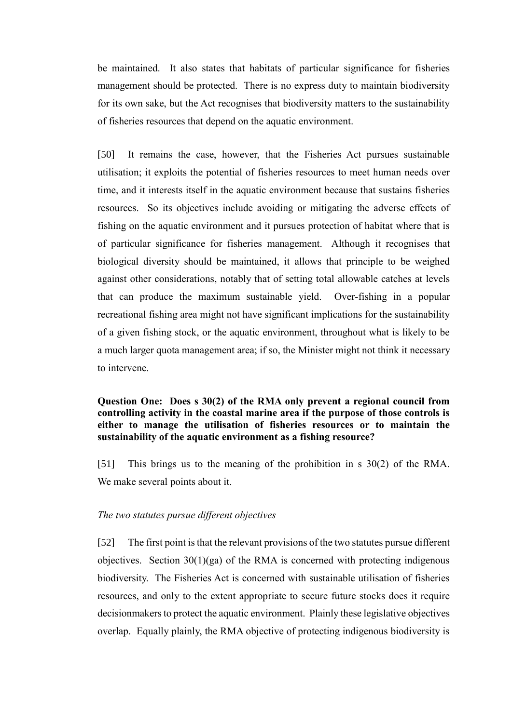be maintained. It also states that habitats of particular significance for fisheries management should be protected. There is no express duty to maintain biodiversity for its own sake, but the Act recognises that biodiversity matters to the sustainability of fisheries resources that depend on the aquatic environment.

[50] It remains the case, however, that the Fisheries Act pursues sustainable utilisation; it exploits the potential of fisheries resources to meet human needs over time, and it interests itself in the aquatic environment because that sustains fisheries resources. So its objectives include avoiding or mitigating the adverse effects of fishing on the aquatic environment and it pursues protection of habitat where that is of particular significance for fisheries management. Although it recognises that biological diversity should be maintained, it allows that principle to be weighed against other considerations, notably that of setting total allowable catches at levels that can produce the maximum sustainable yield. Over-fishing in a popular recreational fishing area might not have significant implications for the sustainability of a given fishing stock, or the aquatic environment, throughout what is likely to be a much larger quota management area; if so, the Minister might not think it necessary to intervene.

# **Question One: Does s 30(2) of the RMA only prevent a regional council from controlling activity in the coastal marine area if the purpose of those controls is either to manage the utilisation of fisheries resources or to maintain the sustainability of the aquatic environment as a fishing resource?**

<span id="page-20-0"></span>[51] This brings us to the meaning of the prohibition in s 30(2) of the RMA. We make several points about it.

## *The two statutes pursue different objectives*

<span id="page-20-1"></span>[52] The first point is that the relevant provisions of the two statutes pursue different objectives. Section  $30(1)(ga)$  of the RMA is concerned with protecting indigenous biodiversity. The Fisheries Act is concerned with sustainable utilisation of fisheries resources, and only to the extent appropriate to secure future stocks does it require decisionmakers to protect the aquatic environment. Plainly these legislative objectives overlap. Equally plainly, the RMA objective of protecting indigenous biodiversity is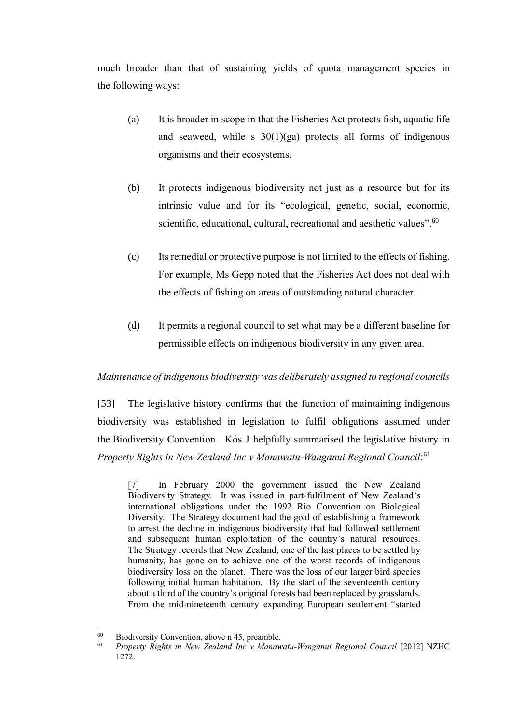much broader than that of sustaining yields of quota management species in the following ways:

- (a) It is broader in scope in that the Fisheries Act protects fish, aquatic life and seaweed, while s  $30(1)(ga)$  protects all forms of indigenous organisms and their ecosystems.
- (b) It protects indigenous biodiversity not just as a resource but for its intrinsic value and for its "ecological, genetic, social, economic, scientific, educational, cultural, recreational and aesthetic values".<sup>60</sup>
- (c) Its remedial or protective purpose is not limited to the effects of fishing. For example, Ms Gepp noted that the Fisheries Act does not deal with the effects of fishing on areas of outstanding natural character.
- (d) It permits a regional council to set what may be a different baseline for permissible effects on indigenous biodiversity in any given area.

## *Maintenance of indigenous biodiversity was deliberately assigned to regional councils*

<span id="page-21-0"></span>[53] The legislative history confirms that the function of maintaining indigenous biodiversity was established in legislation to fulfil obligations assumed under the Biodiversity Convention. Kós J helpfully summarised the legislative history in *Property Rights in New Zealand Inc v Manawatu-Wanganui Regional Council*: 61

[7] In February 2000 the government issued the New Zealand Biodiversity Strategy. It was issued in part-fulfilment of New Zealand's international obligations under the 1992 Rio Convention on Biological Diversity. The Strategy document had the goal of establishing a framework to arrest the decline in indigenous biodiversity that had followed settlement and subsequent human exploitation of the country's natural resources. The Strategy records that New Zealand, one of the last places to be settled by humanity, has gone on to achieve one of the worst records of indigenous biodiversity loss on the planet. There was the loss of our larger bird species following initial human habitation. By the start of the seventeenth century about a third of the country's original forests had been replaced by grasslands. From the mid-nineteenth century expanding European settlement "started

<sup>60</sup> <sup>60</sup> Biodiversity Convention, above n 45, preamble.<br><sup>61</sup> Property *Biolats in New Zealand Inc.y Mangu* 

<sup>61</sup> *Property Rights in New Zealand Inc v Manawatu-Wanganui Regional Council* [2012] NZHC 1272.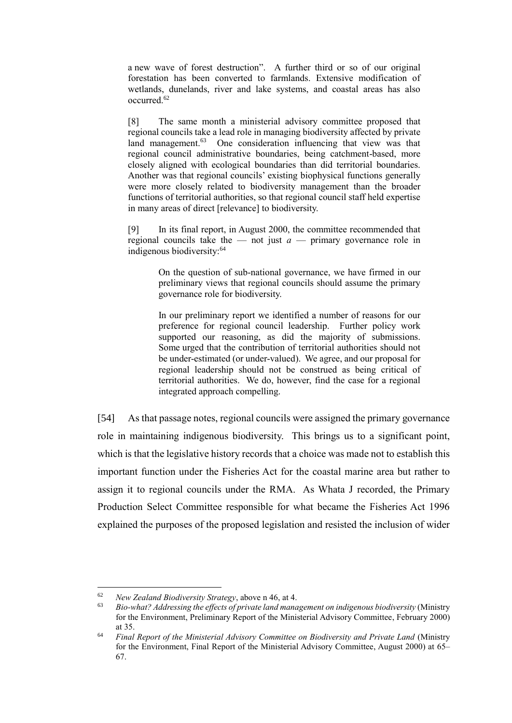a new wave of forest destruction". A further third or so of our original forestation has been converted to farmlands. Extensive modification of wetlands, dunelands, river and lake systems, and coastal areas has also occurred.<sup>62</sup>

[8] The same month a ministerial advisory committee proposed that regional councils take a lead role in managing biodiversity affected by private land management.<sup>63</sup> One consideration influencing that view was that regional council administrative boundaries, being catchment-based, more closely aligned with ecological boundaries than did territorial boundaries. Another was that regional councils' existing biophysical functions generally were more closely related to biodiversity management than the broader functions of territorial authorities, so that regional council staff held expertise in many areas of direct [relevance] to biodiversity.

[9] In its final report, in August 2000, the committee recommended that regional councils take the — not just  $a$  — primary governance role in indigenous biodiversity:<sup>64</sup>

> On the question of sub-national governance, we have firmed in our preliminary views that regional councils should assume the primary governance role for biodiversity.

> In our preliminary report we identified a number of reasons for our preference for regional council leadership. Further policy work supported our reasoning, as did the majority of submissions. Some urged that the contribution of territorial authorities should not be under-estimated (or under-valued). We agree, and our proposal for regional leadership should not be construed as being critical of territorial authorities. We do, however, find the case for a regional integrated approach compelling.

[54] As that passage notes, regional councils were assigned the primary governance role in maintaining indigenous biodiversity. This brings us to a significant point, which is that the legislative history records that a choice was made not to establish this important function under the Fisheries Act for the coastal marine area but rather to assign it to regional councils under the RMA. As Whata J recorded, the Primary Production Select Committee responsible for what became the Fisheries Act 1996 explained the purposes of the proposed legislation and resisted the inclusion of wider

<sup>62</sup> *New Zealand Biodiversity Strategy*, above n 46, at 4.

<sup>63</sup> *Bio-what? Addressing the effects of private land management on indigenous biodiversity* (Ministry for the Environment, Preliminary Report of the Ministerial Advisory Committee, February 2000) at 35.

<sup>64</sup> *Final Report of the Ministerial Advisory Committee on Biodiversity and Private Land* (Ministry for the Environment, Final Report of the Ministerial Advisory Committee, August 2000) at 65– 67.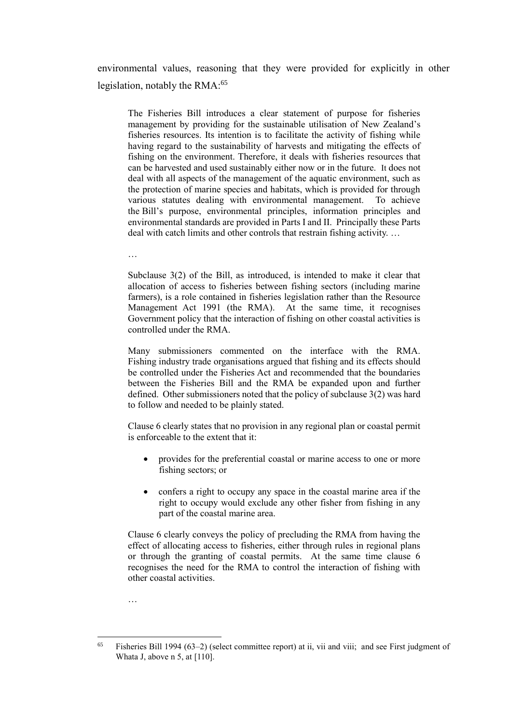environmental values, reasoning that they were provided for explicitly in other legislation, notably the RMA:<sup>65</sup>

The Fisheries Bill introduces a clear statement of purpose for fisheries management by providing for the sustainable utilisation of New Zealand's fisheries resources. Its intention is to facilitate the activity of fishing while having regard to the sustainability of harvests and mitigating the effects of fishing on the environment. Therefore, it deals with fisheries resources that can be harvested and used sustainably either now or in the future. It does not deal with all aspects of the management of the aquatic environment, such as the protection of marine species and habitats, which is provided for through various statutes dealing with environmental management. To achieve the Bill's purpose, environmental principles, information principles and environmental standards are provided in Parts I and II. Principally these Parts deal with catch limits and other controls that restrain fishing activity. …

…

…

Subclause 3(2) of the Bill, as introduced, is intended to make it clear that allocation of access to fisheries between fishing sectors (including marine farmers), is a role contained in fisheries legislation rather than the Resource Management Act 1991 (the RMA). At the same time, it recognises Government policy that the interaction of fishing on other coastal activities is controlled under the RMA.

Many submissioners commented on the interface with the RMA. Fishing industry trade organisations argued that fishing and its effects should be controlled under the Fisheries Act and recommended that the boundaries between the Fisheries Bill and the RMA be expanded upon and further defined. Other submissioners noted that the policy of subclause 3(2) was hard to follow and needed to be plainly stated.

Clause 6 clearly states that no provision in any regional plan or coastal permit is enforceable to the extent that it:

- provides for the preferential coastal or marine access to one or more fishing sectors; or
- confers a right to occupy any space in the coastal marine area if the right to occupy would exclude any other fisher from fishing in any part of the coastal marine area.

Clause 6 clearly conveys the policy of precluding the RMA from having the effect of allocating access to fisheries, either through rules in regional plans or through the granting of coastal permits. At the same time clause 6 recognises the need for the RMA to control the interaction of fishing with other coastal activities.

<sup>65</sup> <sup>65</sup> Fisheries Bill 1994 (63–2) (select committee report) at ii, vii and viii; and see First judgment of Whata J, above n 5, at [110].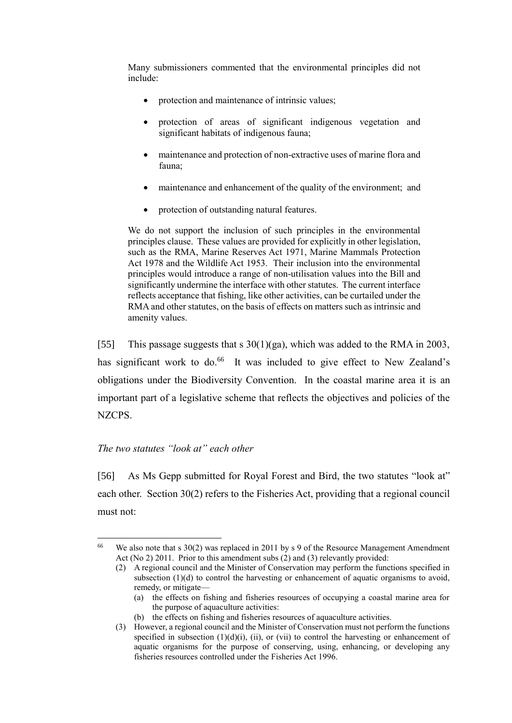Many submissioners commented that the environmental principles did not include:

- protection and maintenance of intrinsic values;
- protection of areas of significant indigenous vegetation and significant habitats of indigenous fauna;
- maintenance and protection of non-extractive uses of marine flora and fauna;
- maintenance and enhancement of the quality of the environment; and
- protection of outstanding natural features.

We do not support the inclusion of such principles in the environmental principles clause. These values are provided for explicitly in other legislation, such as the RMA, Marine Reserves Act 1971, Marine Mammals Protection Act 1978 and the Wildlife Act 1953. Their inclusion into the environmental principles would introduce a range of non-utilisation values into the Bill and significantly undermine the interface with other statutes. The current interface reflects acceptance that fishing, like other activities, can be curtailed under the RMA and other statutes, on the basis of effects on matters such as intrinsic and amenity values.

[55] This passage suggests that s  $30(1)(ga)$ , which was added to the RMA in 2003, has significant work to do.<sup>66</sup> It was included to give effect to New Zealand's obligations under the Biodiversity Convention. In the coastal marine area it is an important part of a legislative scheme that reflects the objectives and policies of the NZCPS.

### *The two statutes "look at" each other*

 $\overline{a}$ 

<span id="page-24-0"></span>[56] As Ms Gepp submitted for Royal Forest and Bird, the two statutes "look at" each other. Section 30(2) refers to the Fisheries Act, providing that a regional council must not:

(b) the effects on fishing and fisheries resources of aquaculture activities.

<sup>&</sup>lt;sup>66</sup> We also note that s 30(2) was replaced in 2011 by s 9 of the Resource Management Amendment Act (No 2) 2011. Prior to this amendment subs (2) and (3) relevantly provided:

<sup>(2)</sup> A regional council and the Minister of Conservation may perform the functions specified in subsection (1)(d) to control the harvesting or enhancement of aquatic organisms to avoid, remedy, or mitigate—

<sup>(</sup>a) the effects on fishing and fisheries resources of occupying a coastal marine area for the purpose of aquaculture activities:

<sup>(3)</sup> However, a regional council and the Minister of Conservation must not perform the functions specified in subsection  $(1)(d)(i)$ ,  $(ii)$ , or  $(vii)$  to control the harvesting or enhancement of aquatic organisms for the purpose of conserving, using, enhancing, or developing any fisheries resources controlled under the Fisheries Act 1996.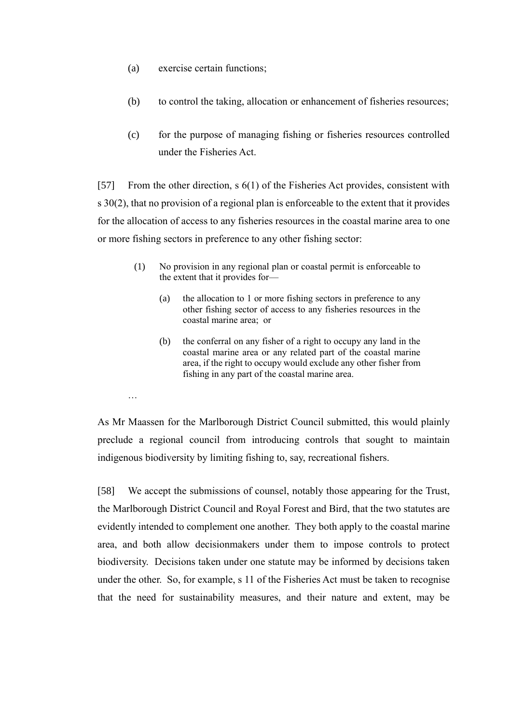(a) exercise certain functions;

…

- (b) to control the taking, allocation or enhancement of fisheries resources;
- (c) for the purpose of managing fishing or fisheries resources controlled under the Fisheries Act.

[57] From the other direction, s 6(1) of the Fisheries Act provides, consistent with s 30(2), that no provision of a regional plan is enforceable to the extent that it provides for the allocation of access to any fisheries resources in the coastal marine area to one or more fishing sectors in preference to any other fishing sector:

- (1) No provision in any regional plan or coastal permit is enforceable to the extent that it provides for—
	- (a) the allocation to 1 or more fishing sectors in preference to any other fishing sector of access to any fisheries resources in the coastal marine area; or
	- (b) the conferral on any fisher of a right to occupy any land in the coastal marine area or any related part of the coastal marine area, if the right to occupy would exclude any other fisher from fishing in any part of the coastal marine area.

As Mr Maassen for the Marlborough District Council submitted, this would plainly preclude a regional council from introducing controls that sought to maintain indigenous biodiversity by limiting fishing to, say, recreational fishers.

[58] We accept the submissions of counsel, notably those appearing for the Trust, the Marlborough District Council and Royal Forest and Bird, that the two statutes are evidently intended to complement one another. They both apply to the coastal marine area, and both allow decisionmakers under them to impose controls to protect biodiversity. Decisions taken under one statute may be informed by decisions taken under the other. So, for example, s 11 of the Fisheries Act must be taken to recognise that the need for sustainability measures, and their nature and extent, may be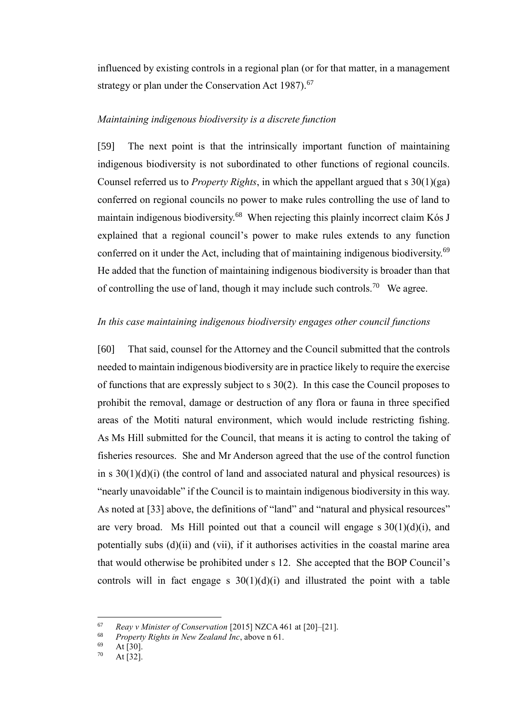influenced by existing controls in a regional plan (or for that matter, in a management strategy or plan under the Conservation Act  $1987$ ).<sup>67</sup>

# *Maintaining indigenous biodiversity is a discrete function*

<span id="page-26-0"></span>[59] The next point is that the intrinsically important function of maintaining indigenous biodiversity is not subordinated to other functions of regional councils. Counsel referred us to *Property Rights*, in which the appellant argued that s 30(1)(ga) conferred on regional councils no power to make rules controlling the use of land to maintain indigenous biodiversity.<sup>68</sup> When rejecting this plainly incorrect claim Kós J explained that a regional council's power to make rules extends to any function conferred on it under the Act, including that of maintaining indigenous biodiversity.<sup>69</sup> He added that the function of maintaining indigenous biodiversity is broader than that of controlling the use of land, though it may include such controls.<sup>70</sup> We agree.

### *In this case maintaining indigenous biodiversity engages other council functions*

<span id="page-26-1"></span>[60] That said, counsel for the Attorney and the Council submitted that the controls needed to maintain indigenous biodiversity are in practice likely to require the exercise of functions that are expressly subject to s 30(2). In this case the Council proposes to prohibit the removal, damage or destruction of any flora or fauna in three specified areas of the Motiti natural environment, which would include restricting fishing. As Ms Hill submitted for the Council, that means it is acting to control the taking of fisheries resources. She and Mr Anderson agreed that the use of the control function in s  $30(1)(d)(i)$  (the control of land and associated natural and physical resources) is "nearly unavoidable" if the Council is to maintain indigenous biodiversity in this way. As noted at [33] above, the definitions of "land" and "natural and physical resources" are very broad. Ms Hill pointed out that a council will engage  $s \frac{30(1)(d)(i)}{i}$ , and potentially subs (d)(ii) and (vii), if it authorises activities in the coastal marine area that would otherwise be prohibited under s 12. She accepted that the BOP Council's controls will in fact engage s  $30(1)(d)(i)$  and illustrated the point with a table

<sup>67</sup> *Reay v Minister of Conservation* [2015] NZCA 461 at [20]–[21].

<sup>68</sup> *Property Rights in New Zealand Inc*, above n 61.

 $\frac{69}{70}$  At [30].

At  $[32]$ .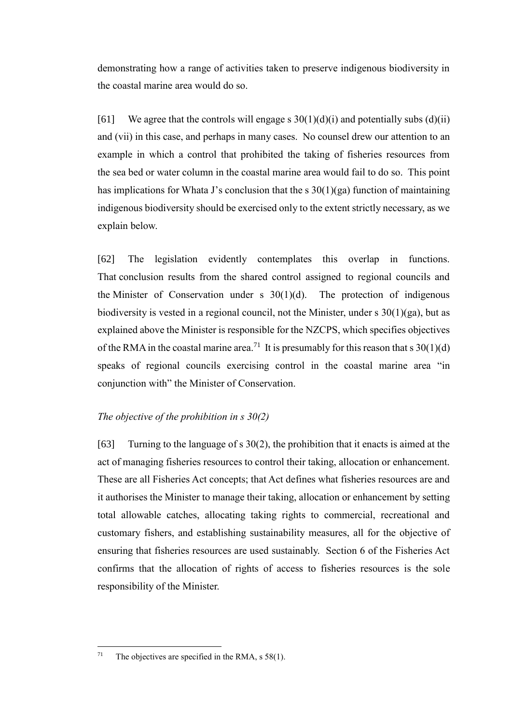demonstrating how a range of activities taken to preserve indigenous biodiversity in the coastal marine area would do so.

[61] We agree that the controls will engage s  $30(1)(d)(i)$  and potentially subs (d)(ii) and (vii) in this case, and perhaps in many cases. No counsel drew our attention to an example in which a control that prohibited the taking of fisheries resources from the sea bed or water column in the coastal marine area would fail to do so. This point has implications for Whata J's conclusion that the s  $30(1)(ga)$  function of maintaining indigenous biodiversity should be exercised only to the extent strictly necessary, as we explain below.

[62] The legislation evidently contemplates this overlap in functions. That conclusion results from the shared control assigned to regional councils and the Minister of Conservation under s  $30(1)(d)$ . The protection of indigenous biodiversity is vested in a regional council, not the Minister, under  $s \frac{30(1)(ga)}{ba}$ , but as explained above the Minister is responsible for the NZCPS, which specifies objectives of the RMA in the coastal marine area.<sup>71</sup> It is presumably for this reason that s  $30(1)(d)$ speaks of regional councils exercising control in the coastal marine area "in conjunction with" the Minister of Conservation.

## *The objective of the prohibition in s 30(2)*

<span id="page-27-0"></span>[63] Turning to the language of s 30(2), the prohibition that it enacts is aimed at the act of managing fisheries resources to control their taking, allocation or enhancement. These are all Fisheries Act concepts; that Act defines what fisheries resources are and it authorises the Minister to manage their taking, allocation or enhancement by setting total allowable catches, allocating taking rights to commercial, recreational and customary fishers, and establishing sustainability measures, all for the objective of ensuring that fisheries resources are used sustainably. Section 6 of the Fisheries Act confirms that the allocation of rights of access to fisheries resources is the sole responsibility of the Minister.

<sup>&</sup>lt;sup>71</sup> The objectives are specified in the RMA, s  $58(1)$ .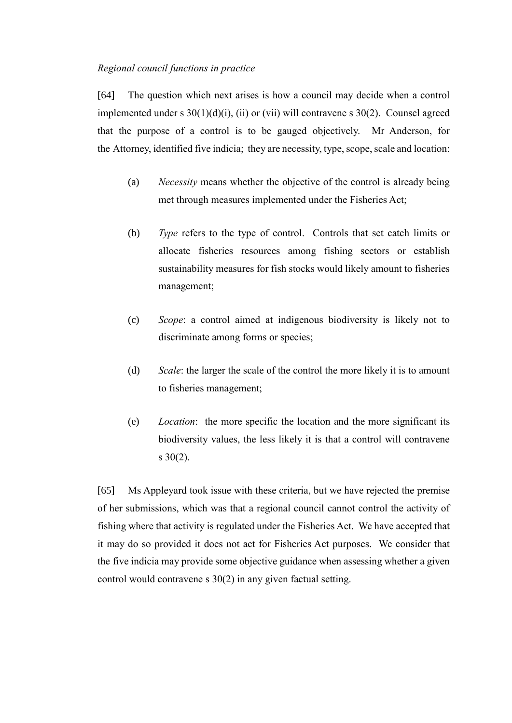### *Regional council functions in practice*

<span id="page-28-0"></span>[64] The question which next arises is how a council may decide when a control implemented under s  $30(1)(d)(i)$ , (ii) or (vii) will contravene s  $30(2)$ . Counsel agreed that the purpose of a control is to be gauged objectively. Mr Anderson, for the Attorney, identified five indicia; they are necessity, type, scope, scale and location:

- (a) *Necessity* means whether the objective of the control is already being met through measures implemented under the Fisheries Act;
- (b) *Type* refers to the type of control. Controls that set catch limits or allocate fisheries resources among fishing sectors or establish sustainability measures for fish stocks would likely amount to fisheries management;
- (c) *Scope*: a control aimed at indigenous biodiversity is likely not to discriminate among forms or species;
- (d) *Scale*: the larger the scale of the control the more likely it is to amount to fisheries management;
- (e) *Location*: the more specific the location and the more significant its biodiversity values, the less likely it is that a control will contravene s 30(2).

[65] Ms Appleyard took issue with these criteria, but we have rejected the premise of her submissions, which was that a regional council cannot control the activity of fishing where that activity is regulated under the Fisheries Act. We have accepted that it may do so provided it does not act for Fisheries Act purposes. We consider that the five indicia may provide some objective guidance when assessing whether a given control would contravene s 30(2) in any given factual setting.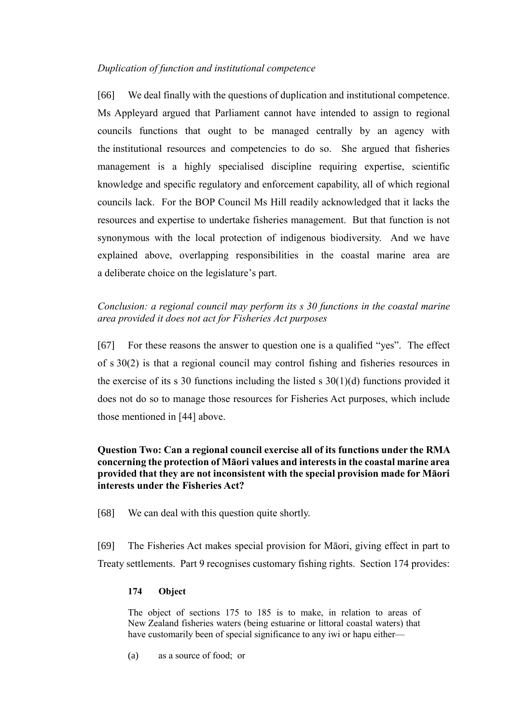# *Duplication of function and institutional competence*

<span id="page-29-0"></span>[66] We deal finally with the questions of duplication and institutional competence. Ms Appleyard argued that Parliament cannot have intended to assign to regional councils functions that ought to be managed centrally by an agency with the institutional resources and competencies to do so. She argued that fisheries management is a highly specialised discipline requiring expertise, scientific knowledge and specific regulatory and enforcement capability, all of which regional councils lack. For the BOP Council Ms Hill readily acknowledged that it lacks the resources and expertise to undertake fisheries management. But that function is not synonymous with the local protection of indigenous biodiversity. And we have explained above, overlapping responsibilities in the coastal marine area are a deliberate choice on the legislature's part.

# *Conclusion: a regional council may perform its s 30 functions in the coastal marine area provided it does not act for Fisheries Act purposes*

<span id="page-29-1"></span>[67] For these reasons the answer to question one is a qualified "yes". The effect of s 30(2) is that a regional council may control fishing and fisheries resources in the exercise of its s 30 functions including the listed s  $30(1)(d)$  functions provided it does not do so to manage those resources for Fisheries Act purposes, which include those mentioned in [44] above.

# **Question Two: Can a regional council exercise all of its functions under the RMA concerning the protection of Māori values and interests in the coastal marine area provided that they are not inconsistent with the special provision made for Māori interests under the Fisheries Act?**

<span id="page-29-2"></span>[68] We can deal with this question quite shortly.

[69] The Fisheries Act makes special provision for Māori, giving effect in part to Treaty settlements. Part 9 recognises customary fishing rights. Section 174 provides:

## **174 Object**

The object of [sections 175 to 185](http://legislation.govt.nz/act/public/1996/0088/latest/link.aspx?id=DLM397959#DLM397959) is to make, in relation to areas of New Zealand fisheries waters (being estuarine or littoral coastal waters) that have customarily been of special significance to any iwi or hapu either-

(a) as a source of food; or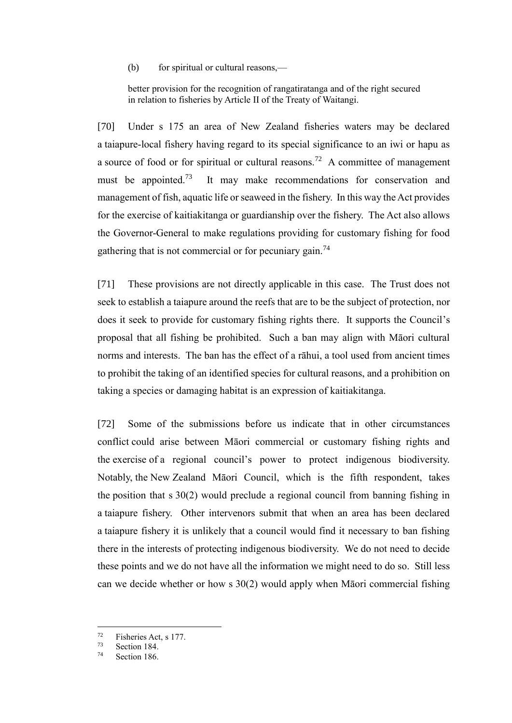(b) for spiritual or cultural reasons,—

better provision for the recognition of rangatiratanga and of the right secured in relation to fisheries by Article II of the Treaty of Waitangi.

[70] Under s 175 an area of New Zealand fisheries waters may be declared a taiapure-local fishery having regard to its special significance to an iwi or hapu as a source of food or for spiritual or cultural reasons.<sup>72</sup> A committee of management must be appointed.<sup>73</sup> It may make recommendations for conservation and management of fish, aquatic life or seaweed in the fishery. In this way the Act provides for the exercise of kaitiakitanga or guardianship over the fishery. The Act also allows the Governor-General to make regulations providing for customary fishing for food gathering that is not commercial or for pecuniary gain.<sup>74</sup>

[71] These provisions are not directly applicable in this case. The Trust does not seek to establish a taiapure around the reefs that are to be the subject of protection, nor does it seek to provide for customary fishing rights there. It supports the Council's proposal that all fishing be prohibited. Such a ban may align with Māori cultural norms and interests. The ban has the effect of a rāhui, a tool used from ancient times to prohibit the taking of an identified species for cultural reasons, and a prohibition on taking a species or damaging habitat is an expression of kaitiakitanga.

[72] Some of the submissions before us indicate that in other circumstances conflict could arise between Māori commercial or customary fishing rights and the exercise of a regional council's power to protect indigenous biodiversity. Notably, the New Zealand Māori Council, which is the fifth respondent, takes the position that s 30(2) would preclude a regional council from banning fishing in a taiapure fishery. Other intervenors submit that when an area has been declared a taiapure fishery it is unlikely that a council would find it necessary to ban fishing there in the interests of protecting indigenous biodiversity. We do not need to decide these points and we do not have all the information we might need to do so. Still less can we decide whether or how s 30(2) would apply when Māori commercial fishing

 $^{72}$  Fisheries Act, s 177.

 $\frac{73}{74}$  Section 184.

Section 186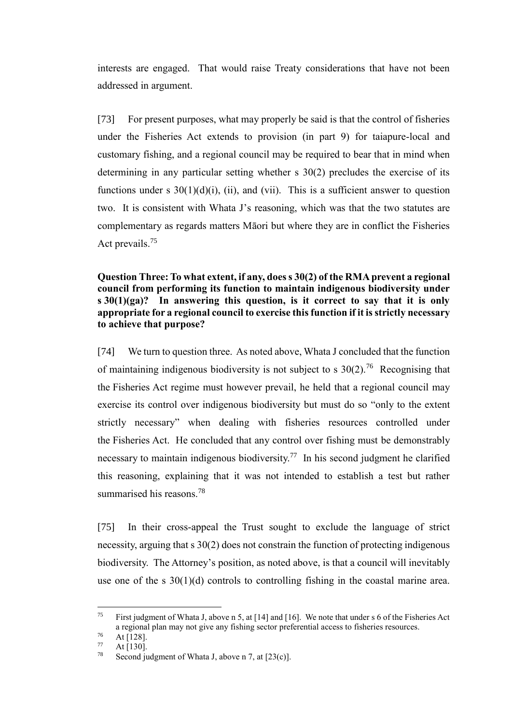interests are engaged. That would raise Treaty considerations that have not been addressed in argument.

[73] For present purposes, what may properly be said is that the control of fisheries under the Fisheries Act extends to provision (in part 9) for taiapure-local and customary fishing, and a regional council may be required to bear that in mind when determining in any particular setting whether s 30(2) precludes the exercise of its functions under s  $30(1)(d)(i)$ , (ii), and (vii). This is a sufficient answer to question two. It is consistent with Whata J's reasoning, which was that the two statutes are complementary as regards matters Māori but where they are in conflict the Fisheries Act prevails.<sup>75</sup>

# **Question Three: To what extent, if any, does s 30(2) of the RMA prevent a regional council from performing its function to maintain indigenous biodiversity under s 30(1)(ga)? In answering this question, is it correct to say that it is only appropriate for a regional council to exercise this function if it is strictly necessary to achieve that purpose?**

<span id="page-31-0"></span>[74] We turn to question three. As noted above, Whata J concluded that the function of maintaining indigenous biodiversity is not subject to s  $30(2)$ .<sup>76</sup> Recognising that the Fisheries Act regime must however prevail, he held that a regional council may exercise its control over indigenous biodiversity but must do so "only to the extent strictly necessary" when dealing with fisheries resources controlled under the Fisheries Act. He concluded that any control over fishing must be demonstrably necessary to maintain indigenous biodiversity.<sup>77</sup> In his second judgment he clarified this reasoning, explaining that it was not intended to establish a test but rather summarised his reasons.<sup>78</sup>

[75] In their cross-appeal the Trust sought to exclude the language of strict necessity, arguing that s 30(2) does not constrain the function of protecting indigenous biodiversity. The Attorney's position, as noted above, is that a council will inevitably use one of the s  $30(1)(d)$  controls to controlling fishing in the coastal marine area.

 $75$ First judgment of Whata J, above n 5, at [14] and [16]. We note that under s 6 of the Fisheries Act a regional plan may not give any fishing sector preferential access to fisheries resources.

 $\frac{76}{77}$  At [128].

At  $[130]$ .

<sup>&</sup>lt;sup>78</sup> Second judgment of Whata J, above n 7, at  $[23(c)]$ .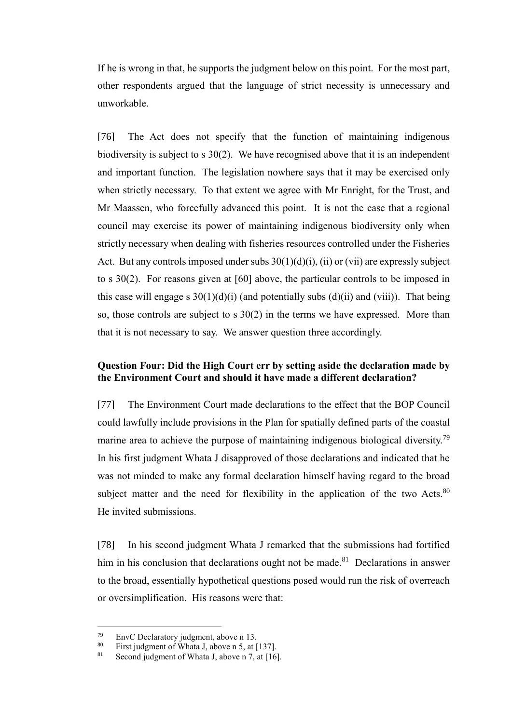If he is wrong in that, he supports the judgment below on this point. For the most part, other respondents argued that the language of strict necessity is unnecessary and unworkable.

[76] The Act does not specify that the function of maintaining indigenous biodiversity is subject to s 30(2). We have recognised above that it is an independent and important function. The legislation nowhere says that it may be exercised only when strictly necessary. To that extent we agree with Mr Enright, for the Trust, and Mr Maassen, who forcefully advanced this point. It is not the case that a regional council may exercise its power of maintaining indigenous biodiversity only when strictly necessary when dealing with fisheries resources controlled under the Fisheries Act. But any controls imposed under subs  $30(1)(d)(i)$ , (ii) or (vii) are expressly subject to s 30(2). For reasons given at [60] above, the particular controls to be imposed in this case will engage s  $30(1)(d)(i)$  (and potentially subs  $(d)(ii)$  and  $(viii)$ ). That being so, those controls are subject to s 30(2) in the terms we have expressed. More than that it is not necessary to say. We answer question three accordingly.

# **Question Four: Did the High Court err by setting aside the declaration made by the Environment Court and should it have made a different declaration?**

<span id="page-32-0"></span>[77] The Environment Court made declarations to the effect that the BOP Council could lawfully include provisions in the Plan for spatially defined parts of the coastal marine area to achieve the purpose of maintaining indigenous biological diversity.<sup>79</sup> In his first judgment Whata J disapproved of those declarations and indicated that he was not minded to make any formal declaration himself having regard to the broad subject matter and the need for flexibility in the application of the two Acts. $80$ He invited submissions.

[78] In his second judgment Whata J remarked that the submissions had fortified him in his conclusion that declarations ought not be made.<sup>81</sup> Declarations in answer to the broad, essentially hypothetical questions posed would run the risk of overreach or oversimplification. His reasons were that:

<sup>&</sup>lt;sup>79</sup> EnvC Declaratory judgment, above n 13.<br> $^{80}$  Einst judgment of Whata Labove n 5, at I

<sup>&</sup>lt;sup>80</sup> First judgment of Whata J, above n 5, at [137].<br><sup>81</sup> Second judgment of Whata J, above n 7, at [16]

Second judgment of Whata J, above n 7, at  $[16]$ .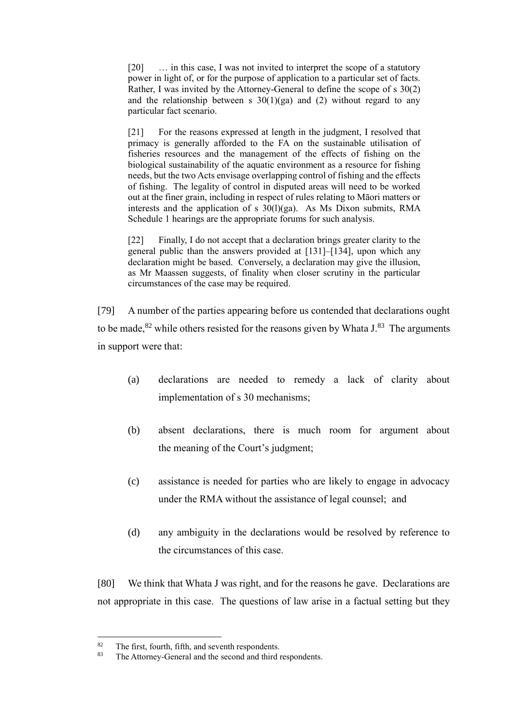[20] ... in this case, I was not invited to interpret the scope of a statutory power in light of, or for the purpose of application to a particular set of facts. Rather, I was invited by the Attorney-General to define the scope of s 30(2) and the relationship between s  $30(1)(ga)$  and (2) without regard to any particular fact scenario.

[21] For the reasons expressed at length in the judgment, I resolved that primacy is generally afforded to the FA on the sustainable utilisation of fisheries resources and the management of the effects of fishing on the biological sustainability of the aquatic environment as a resource for fishing needs, but the two Acts envisage overlapping control of fishing and the effects of fishing. The legality of control in disputed areas will need to be worked out at the finer grain, including in respect of rules relating to Māori matters or interests and the application of s  $30(1)(ga)$ . As Ms Dixon submits, RMA Schedule 1 hearings are the appropriate forums for such analysis.

[22] Finally, I do not accept that a declaration brings greater clarity to the general public than the answers provided at [131]–[134], upon which any declaration might be based. Conversely, a declaration may give the illusion, as Mr Maassen suggests, of finality when closer scrutiny in the particular circumstances of the case may be required.

[79] A number of the parties appearing before us contended that declarations ought to be made,<sup>82</sup> while others resisted for the reasons given by Whata  $J^{83}$  The arguments in support were that:

- (a) declarations are needed to remedy a lack of clarity about implementation of s 30 mechanisms;
- (b) absent declarations, there is much room for argument about the meaning of the Court's judgment;
- (c) assistance is needed for parties who are likely to engage in advocacy under the RMA without the assistance of legal counsel; and
- (d) any ambiguity in the declarations would be resolved by reference to the circumstances of this case.

[80] We think that Whata J was right, and for the reasons he gave. Declarations are not appropriate in this case. The questions of law arise in a factual setting but they

<sup>82</sup> <sup>82</sup> The first, fourth, fifth, and seventh respondents.<br><sup>83</sup> The Attorney-General and the second and third

The Attorney-General and the second and third respondents.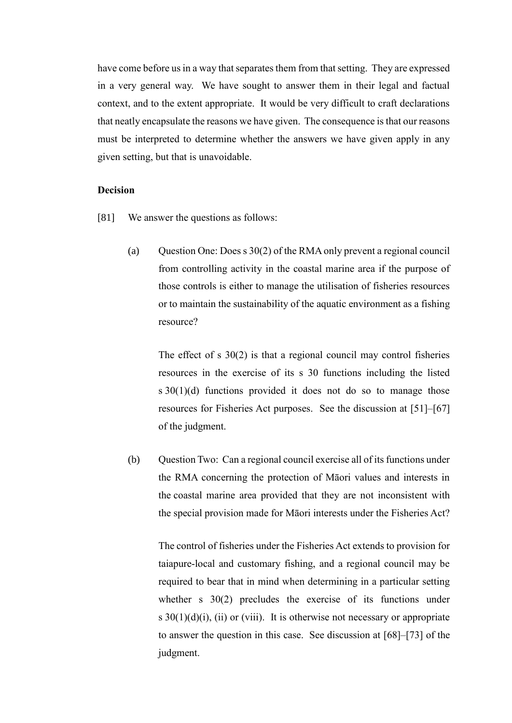have come before us in a way that separates them from that setting. They are expressed in a very general way. We have sought to answer them in their legal and factual context, and to the extent appropriate. It would be very difficult to craft declarations that neatly encapsulate the reasons we have given. The consequence is that our reasons must be interpreted to determine whether the answers we have given apply in any given setting, but that is unavoidable.

#### **Decision**

- <span id="page-34-0"></span>[81] We answer the questions as follows:
	- (a) Ouestion One: Does s  $30(2)$  of the RMA only prevent a regional council from controlling activity in the coastal marine area if the purpose of those controls is either to manage the utilisation of fisheries resources or to maintain the sustainability of the aquatic environment as a fishing resource?

The effect of s 30(2) is that a regional council may control fisheries resources in the exercise of its s 30 functions including the listed s 30(1)(d) functions provided it does not do so to manage those resources for Fisheries Act purposes. See the discussion at [51]–[67] of the judgment.

(b) Question Two: Can a regional council exercise all of its functions under the RMA concerning the protection of Māori values and interests in the coastal marine area provided that they are not inconsistent with the special provision made for Māori interests under the Fisheries Act?

The control of fisheries under the Fisheries Act extends to provision for taiapure-local and customary fishing, and a regional council may be required to bear that in mind when determining in a particular setting whether s 30(2) precludes the exercise of its functions under s  $30(1)(d)(i)$ , (ii) or (viii). It is otherwise not necessary or appropriate to answer the question in this case. See discussion at [68]–[73] of the judgment.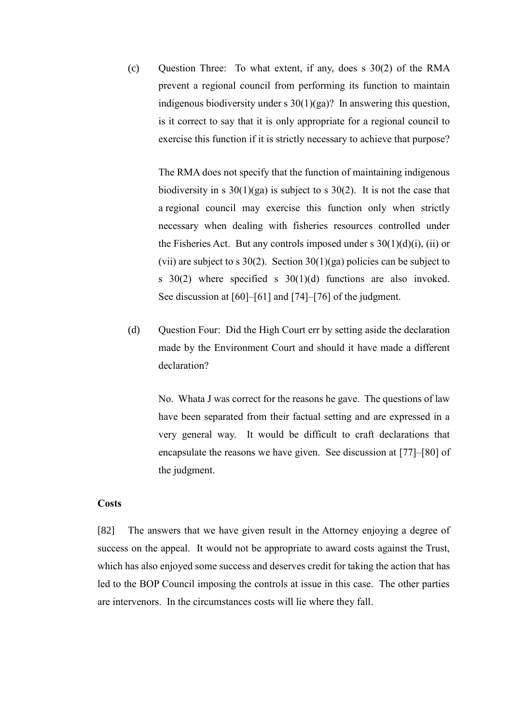(c) Question Three: To what extent, if any, does s 30(2) of the RMA prevent a regional council from performing its function to maintain indigenous biodiversity under s 30(1)(ga)? In answering this question, is it correct to say that it is only appropriate for a regional council to exercise this function if it is strictly necessary to achieve that purpose?

The RMA does not specify that the function of maintaining indigenous biodiversity in s  $30(1)(ga)$  is subject to s  $30(2)$ . It is not the case that a regional council may exercise this function only when strictly necessary when dealing with fisheries resources controlled under the Fisheries Act. But any controls imposed under s  $30(1)(d)(i)$ , (ii) or (vii) are subject to s  $30(2)$ . Section  $30(1)(ga)$  policies can be subject to s 30(2) where specified s 30(1)(d) functions are also invoked. See discussion at [60]–[61] and [74]–[76] of the judgment.

(d) Question Four: Did the High Court err by setting aside the declaration made by the Environment Court and should it have made a different declaration?

No. Whata J was correct for the reasons he gave. The questions of law have been separated from their factual setting and are expressed in a very general way. It would be difficult to craft declarations that encapsulate the reasons we have given. See discussion at [77]–[80] of the judgment.

### **Costs**

<span id="page-35-0"></span>[82] The answers that we have given result in the Attorney enjoying a degree of success on the appeal. It would not be appropriate to award costs against the Trust, which has also enjoyed some success and deserves credit for taking the action that has led to the BOP Council imposing the controls at issue in this case. The other parties are intervenors. In the circumstances costs will lie where they fall.